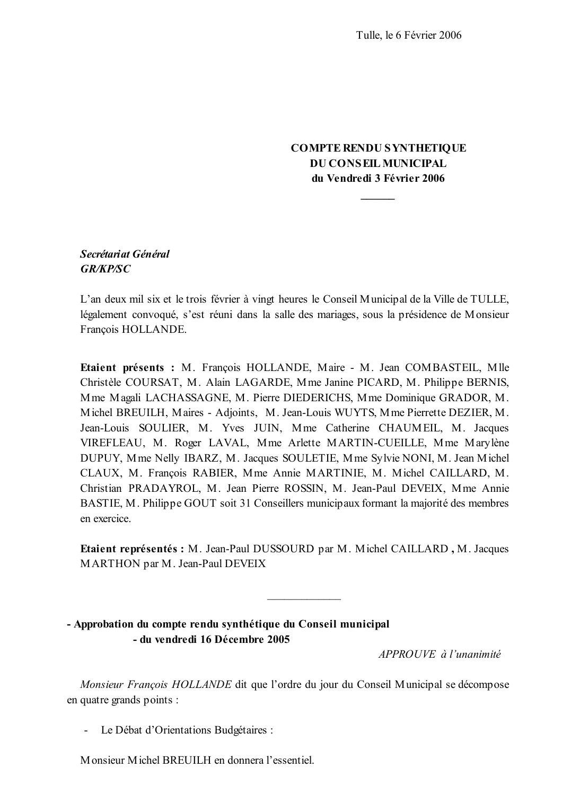### **COMPTE RENDU SYNTHETIQUE DU CONSEIL MUNICIPAL** du Vendredi 3 Février 2006

### Secrétariat Général **GR/KP/SC**

L'an deux mil six et le trois février à vingt heures le Conseil Municipal de la Ville de TULLE, légalement convoqué, s'est réuni dans la salle des mariages, sous la présidence de Monsieur François HOLLANDE.

Etaient présents : M. François HOLLANDE, Maire - M. Jean COMBASTEIL, Mlle Christèle COURSAT, M. Alain LAGARDE, Mme Janine PICARD, M. Philippe BERNIS, Mme Magali LACHASSAGNE, M. Pierre DIEDERICHS, Mme Dominique GRADOR, M. Michel BREUILH, Maires - Adjoints, M. Jean-Louis WUYTS, Mme Pierrette DEZIER, M. Jean-Louis SOULIER, M. Yves JUIN, Mme Catherine CHAUMEIL, M. Jacques VIREFLEAU, M. Roger LAVAL, Mme Arlette MARTIN-CUEILLE, Mme Marylène DUPUY, Mme Nelly IBARZ, M. Jacques SOULETIE, Mme Sylvie NONI, M. Jean Michel CLAUX, M. François RABIER, Mme Annie MARTINIE, M. Michel CAILLARD, M. Christian PRADAYROL, M. Jean Pierre ROSSIN, M. Jean-Paul DEVEIX, Mme Annie BASTIE, M. Philippe GOUT soit 31 Conseillers municipaux formant la majorité des membres en exercice.

Etaient représentés : M. Jean-Paul DUSSOURD par M. Michel CAILLARD, M. Jacques MARTHON par M. Jean-Paul DEVEIX

- Approbation du compte rendu synthétique du Conseil municipal - du vendredi 16 Décembre 2005

APPROUVE à l'unanimité

Monsieur François HOLLANDE dit que l'ordre du jour du Conseil Municipal se décompose en quatre grands points :

Le Débat d'Orientations Budgétaires :  $\Delta \sim 10$ 

Monsieur Michel BREUILH en donnera l'essentiel.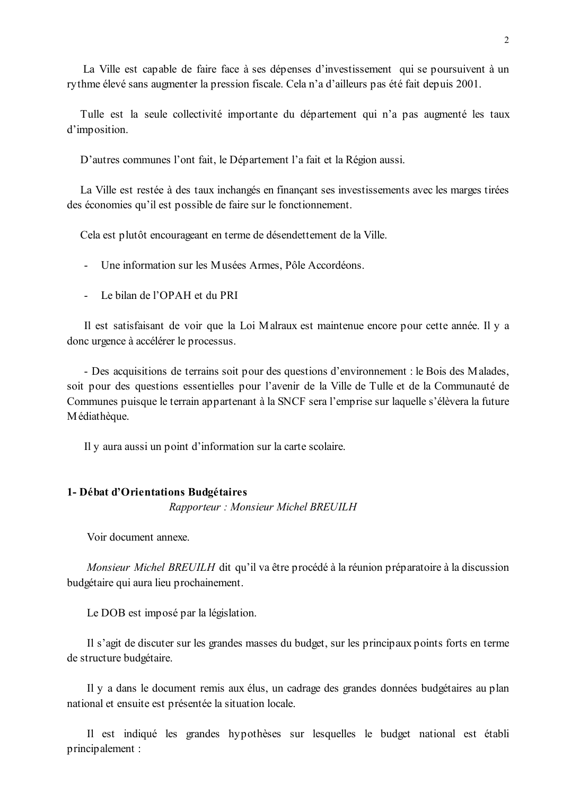La Ville est capable de faire face à ses dépenses d'investissement qui se poursuivent à un rythme élevé sans augmenter la pression fiscale. Cela n'a d'ailleurs pas été fait depuis 2001.

Tulle est la seule collectivité importante du département qui n'a pas augmenté les taux d'imposition.

D'autres communes l'ont fait, le Département l'a fait et la Région aussi.

La Ville est restée à des taux inchangés en finançant ses investissements avec les marges tirées des économies qu'il est possible de faire sur le fonctionnement.

Cela est plutôt encourageant en terme de désendettement de la Ville.

- Une information sur les Musées Armes, Pôle Accordéons.
- Le bilan de l'OPAH et du PRI

Il est satisfaisant de voir que la Loi Malraux est maintenue encore pour cette année. Il y a donc urgence à accélérer le processus.

- Des acquisitions de terrains soit pour des questions d'environnement : le Bois des Malades, soit pour des questions essentielles pour l'avenir de la Ville de Tulle et de la Communauté de Communes puisque le terrain appartenant à la SNCF sera l'emprise sur laquelle s'élèvera la future Médiathèque.

Il y aura aussi un point d'information sur la carte scolaire.

#### 1- Débat d'Orientations Budgétaires

Rapporteur: Monsieur Michel BREUILH

Voir document annexe.

Monsieur Michel BREUILH dit qu'il va être procédé à la réunion préparatoire à la discussion budgétaire qui aura lieu prochainement.

Le DOB est imposé par la législation.

Il s'agit de discuter sur les grandes masses du budget, sur les principaux points forts en terme de structure budgétaire.

Il y a dans le document remis aux élus, un cadrage des grandes données budgétaires au plan national et ensuite est présentée la situation locale.

Il est indiqué les grandes hypothèses sur lesquelles le budget national est établi principalement: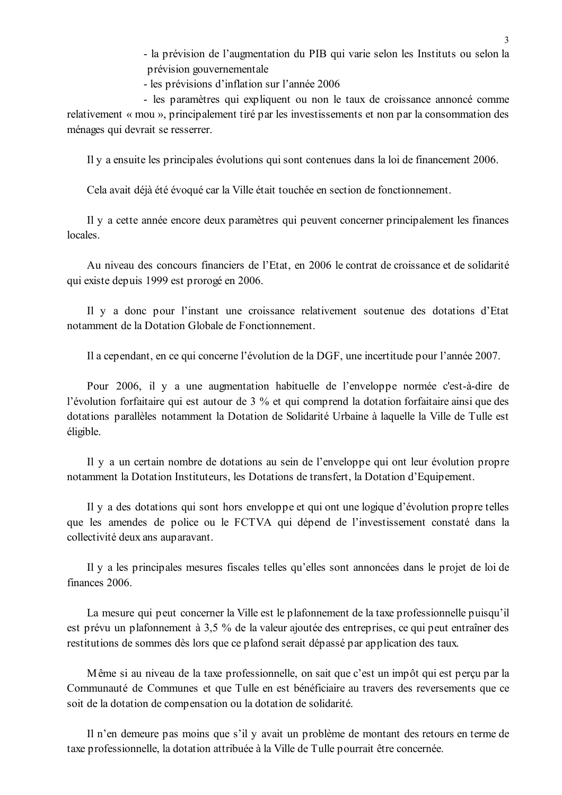- la prévision de l'augmentation du PIB qui varie selon les Instituts ou selon la prévision gouvernementale

- les prévisions d'inflation sur l'année 2006

- les paramètres qui expliquent ou non le taux de croissance annoncé comme relativement « mou », principalement tiré par les investissements et non par la consommation des ménages qui devrait se resserrer.

Il y a ensuite les principales évolutions qui sont contenues dans la loi de financement 2006.

Cela avait déjà été évoqué car la Ville était touchée en section de fonctionnement.

Il y a cette année encore deux paramètres qui peuvent concerner principalement les finances locales

Au niveau des concours financiers de l'Etat, en 2006 le contrat de croissance et de solidarité qui existe depuis 1999 est prorogé en 2006.

Il y a donc pour l'instant une croissance relativement soutenue des dotations d'Etat notamment de la Dotation Globale de Fonctionnement.

Il a cependant, en ce qui concerne l'évolution de la DGF, une incertitude pour l'année 2007.

Pour 2006, il y a une augmentation habituelle de l'enveloppe normée c'est-à-dire de l'évolution forfaitaire qui est autour de 3 % et qui comprend la dotation forfaitaire ainsi que des dotations parallèles notamment la Dotation de Solidarité Urbaine à laquelle la Ville de Tulle est éligible.

Il y a un certain nombre de dotations au sein de l'enveloppe qui ont leur évolution propre notamment la Dotation Instituteurs, les Dotations de transfert, la Dotation d'Equipement.

Il y a des dotations qui sont hors enveloppe et qui ont une logique d'évolution propre telles que les amendes de police ou le FCTVA qui dépend de l'investissement constaté dans la collectivité deux ans auparavant.

Il y a les principales mesures fiscales telles qu'elles sont annoncées dans le projet de loi de finances 2006.

La mesure qui peut concerner la Ville est le plafonnement de la taxe professionnelle puisqu'il est prévu un plafonnement à 3,5 % de la valeur ajoutée des entreprises, ce qui peut entraîner des restitutions de sommes dès lors que ce plafond serait dépassé par application des taux.

Même si au niveau de la taxe professionnelle, on sait que c'est un impôt qui est percu par la Communauté de Communes et que Tulle en est bénéficiaire au travers des reversements que ce soit de la dotation de compensation ou la dotation de solidarité.

Il n'en demeure pas moins que s'il y avait un problème de montant des retours en terme de taxe professionnelle, la dotation attribuée à la Ville de Tulle pourrait être concernée.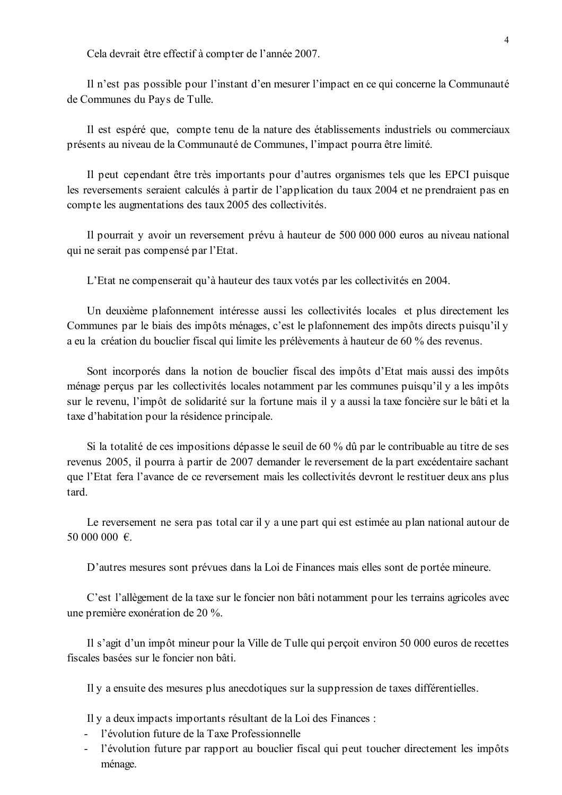Cela devrait être effectif à compter de l'année 2007.

Il n'est pas possible pour l'instant d'en mesurer l'impact en ce qui concerne la Communauté de Communes du Pays de Tulle.

Il est espéré que, compte tenu de la nature des établissements industriels ou commerciaux présents au niveau de la Communauté de Communes, l'impact pourra être limité.

Il peut cependant être très importants pour d'autres organismes tels que les EPCI puisque les reversements seraient calculés à partir de l'application du taux 2004 et ne prendraient pas en compte les augmentations des taux 2005 des collectivités.

Il pourrait y avoir un reversement prévu à hauteur de 500 000 000 euros au niveau national qui ne serait pas compensé par l'Etat.

L'Etat ne compenserait qu'à hauteur des taux votés par les collectivités en 2004.

Un deuxième plafonnement intéresse aussi les collectivités locales et plus directement les Communes par le biais des impôts ménages, c'est le plafonnement des impôts directs puisqu'il y a eu la création du bouclier fiscal qui limite les prélèvements à hauteur de 60 % des revenus.

Sont incorporés dans la notion de bouclier fiscal des impôts d'Etat mais aussi des impôts ménage perçus par les collectivités locales notamment par les communes puisqu'il y a les impôts sur le revenu, l'impôt de solidarité sur la fortune mais il y a aussi la taxe foncière sur le bâti et la taxe d'habitation pour la résidence principale.

Si la totalité de ces impositions dépasse le seuil de 60 % dû par le contribuable au titre de ses revenus 2005, il pourra à partir de 2007 demander le reversement de la part excédentaire sachant que l'Etat fera l'avance de ce reversement mais les collectivités devront le restituer deux ans plus tard.

Le reversement ne sera pas total car il y a une part qui est estimée au plan national autour de 50 000 000 €.

D'autres mesures sont prévues dans la Loi de Finances mais elles sont de portée mineure.

C'est l'allègement de la taxe sur le foncier non bâti notamment pour les terrains agricoles avec une première exonération de 20 %.

Il s'agit d'un impôt mineur pour la Ville de Tulle qui perçoit environ 50 000 euros de recettes fiscales basées sur le foncier non bâti

Il y a ensuite des mesures plus anecdotiques sur la suppression de taxes différentielles.

Il y a deux impacts importants résultant de la Loi des Finances :

- l'évolution future de la Taxe Professionnelle
- l'évolution future par rapport au bouclier fiscal qui peut toucher directement les impôts ménage.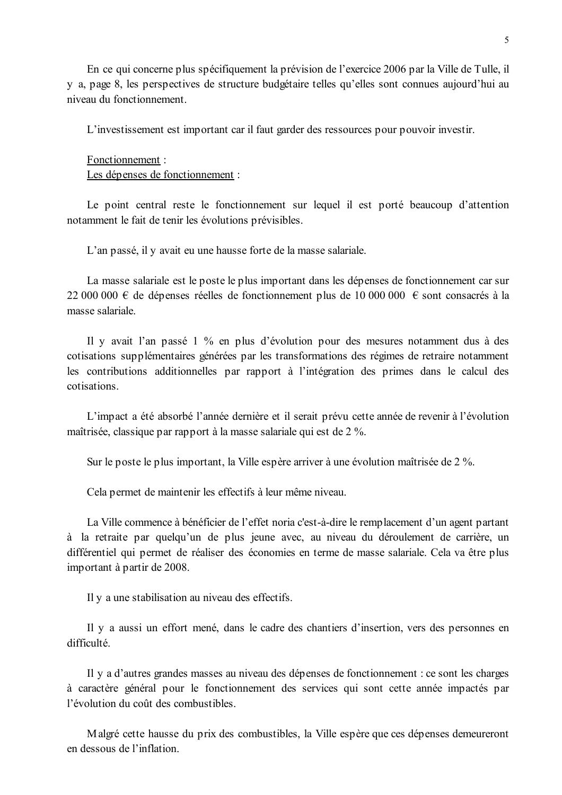En ce qui concerne plus spécifiquement la prévision de l'exercice 2006 par la Ville de Tulle, il y a, page 8, les perspectives de structure budgétaire telles qu'elles sont connues aujourd'hui au niveau du fonctionnement.

L'investissement est important car il faut garder des ressources pour pouvoir investir.

#### Fonctionnement:

Les dépenses de fonctionnement :

Le point central reste le fonctionnement sur lequel il est porté beaucoup d'attention notamment le fait de tenir les évolutions prévisibles.

L'an passé, il y avait eu une hausse forte de la masse salariale.

La masse salariale est le poste le plus important dans les dépenses de fonctionnement car sur 22 000 000 € de dépenses réelles de fonctionnement plus de 10 000 000 € sont consacrés à la masse salariale

Il y avait l'an passé 1 % en plus d'évolution pour des mesures notamment dus à des cotisations supplémentaires générées par les transformations des régimes de retraire notamment les contributions additionnelles par rapport à l'intégration des primes dans le calcul des cotisations.

L'impact a été absorbé l'année dernière et il serait prévu cette année de revenir à l'évolution maîtrisée, classique par rapport à la masse salariale qui est de 2 %.

Sur le poste le plus important, la Ville espère arriver à une évolution maîtrisée de 2 %.

Cela permet de maintenir les effectifs à leur même niveau.

La Ville commence à bénéficier de l'effet noria c'est-à-dire le remplacement d'un agent partant à la retraite par quelqu'un de plus jeune avec, au niveau du déroulement de carrière, un différentiel qui permet de réaliser des économies en terme de masse salariale. Cela va être plus important à partir de 2008.

Il y a une stabilisation au niveau des effectifs.

Il y a aussi un effort mené, dans le cadre des chantiers d'insertion, vers des personnes en difficulté.

Il y a d'autres grandes masses au niveau des dépenses de fonctionnement : ce sont les charges à caractère général pour le fonctionnement des services qui sont cette année impactés par l'évolution du coût des combustibles.

Malgré cette hausse du prix des combustibles, la Ville espère que ces dépenses demeureront en dessous de l'inflation.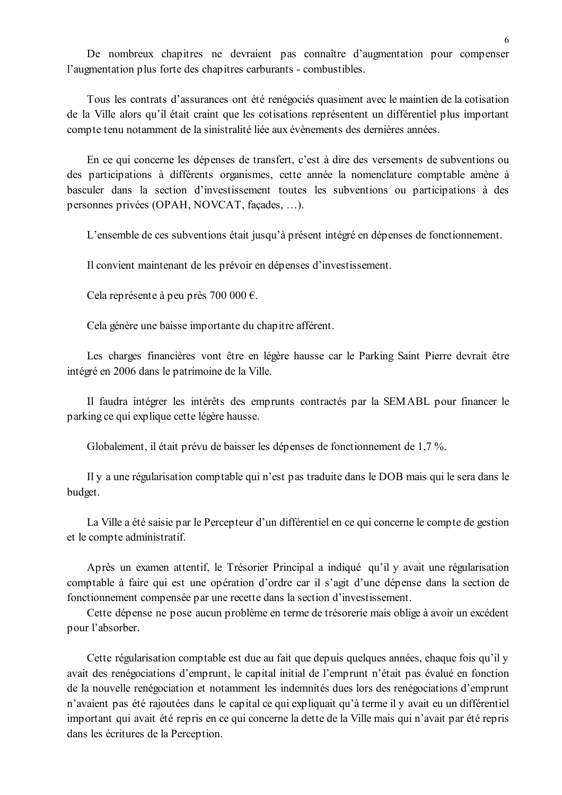De nombreux chapitres ne devraient pas connaître d'augmentation pour compenser l'augmentation plus forte des chapitres carburants - combustibles.

Tous les contrats d'assurances ont été renégociés quasiment avec le maintien de la cotisation de la Ville alors qu'il était craint que les cotisations représentent un différentiel plus important compte tenu notamment de la sinistralité liée aux évènements des dernières années.

En ce qui concerne les dépenses de transfert, c'est à dire des versements de subventions ou des participations à différents organismes, cette année la nomenclature comptable amène à basculer dans la section d'investissement toutes les subventions ou participations à des personnes privées (OPAH, NOVCAT, facades, ...).

L'ensemble de ces subventions était jusqu'à présent intégré en dépenses de fonctionnement.

Il convient maintenant de les prévoir en dépenses d'investissement.

Cela représente à peu près 700 000 €.

Cela génère une baisse importante du chapitre afférent.

Les charges financières vont être en légère hausse car le Parking Saint Pierre devrait être intégré en 2006 dans le patrimoine de la Ville.

Il faudra intégrer les intérêts des emprunts contractés par la SEMABL pour financer le parking ce qui explique cette légère hausse.

Globalement, il était prévu de baisser les dépenses de fonctionnement de 1,7 %.

Il y a une régularisation comptable qui n'est pas traduite dans le DOB mais qui le sera dans le budget.

La Ville a été saisie par le Percepteur d'un différentiel en ce qui concerne le compte de gestion et le compte administratif.

Après un examen attentif, le Trésorier Principal a indiqué qu'il y avait une régularisation comptable à faire qui est une opération d'ordre car il s'agit d'une dépense dans la section de fonctionnement compensée par une recette dans la section d'investissement.

Cette dépense ne pose aucun problème en terme de trésorerie mais oblige à avoir un excédent pour l'absorber.

Cette régularisation comptable est due au fait que depuis quelques années, chaque fois qu'il y avait des renégociations d'emprunt, le capital initial de l'emprunt n'était pas évalué en fonction de la nouvelle renégociation et notamment les indemnités dues lors des renégociations d'emprunt n'avaient pas été rajoutées dans le capital ce qui expliquait qu'à terme il y avait eu un différentiel important qui avait été repris en ce qui concerne la dette de la Ville mais qui n'avait par été repris dans les écritures de la Perception.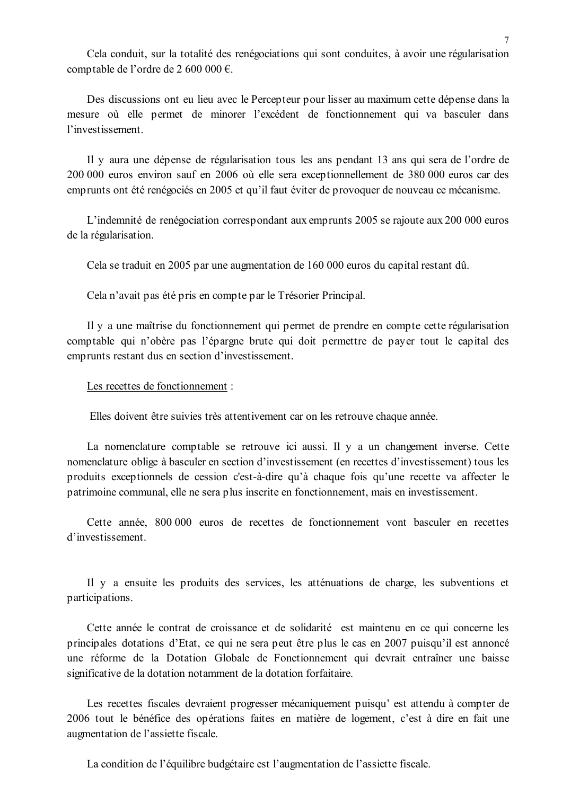Cela conduit, sur la totalité des renégociations qui sont conduites, à avoir une régularisation comptable de l'ordre de 2 600 000 €.

Des discussions ont eu lieu avec le Percepteur pour lisser au maximum cette dépense dans la mesure où elle permet de minorer l'excédent de fonctionnement qui va basculer dans l'investissement.

Il y aura une dépense de régularisation tous les ans pendant 13 ans qui sera de l'ordre de 200 000 euros environ sauf en 2006 où elle sera exceptionnellement de 380 000 euros car des emprunts ont été renégociés en 2005 et qu'il faut éviter de provoquer de nouveau ce mécanisme.

L'indemnité de renégociation correspondant aux emprunts 2005 se rajoute aux 200 000 euros de la régularisation.

Cela se traduit en 2005 par une augmentation de 160 000 euros du capital restant dû.

Cela n'avait pas été pris en compte par le Trésorier Principal.

Il y a une maîtrise du fonctionnement qui permet de prendre en compte cette régularisation comptable qui n'obère pas l'épargne brute qui doit permettre de payer tout le capital des emprunts restant dus en section d'investissement.

Les recettes de fonctionnement :

Elles doivent être suivies très attentivement car on les retrouve chaque année.

La nomenclature comptable se retrouve ici aussi. Il y a un changement inverse. Cette nomenclature oblige à basculer en section d'investissement (en recettes d'investissement) tous les produits exceptionnels de cession c'est-à-dire qu'à chaque fois qu'une recette va affecter le patrimoine communal, elle ne sera plus inscrite en fonctionnement, mais en investissement.

Cette année, 800,000 euros de recettes de fonctionnement vont basculer en recettes d'investissement

Il y a ensuite les produits des services, les atténuations de charge, les subventions et participations.

Cette année le contrat de croissance et de solidarité est maintenu en ce qui concerne les principales dotations d'Etat, ce qui ne sera peut être plus le cas en 2007 puisqu'il est annoncé une réforme de la Dotation Globale de Fonctionnement qui devrait entraîner une baisse significative de la dotation notamment de la dotation forfaitaire.

Les recettes fiscales devraient progresser mécaniquement puisqu'est attendu à compter de 2006 tout le bénéfice des opérations faites en matière de logement, c'est à dire en fait une augmentation de l'assiette fiscale.

La condition de l'équilibre budgétaire est l'augmentation de l'assiette fiscale.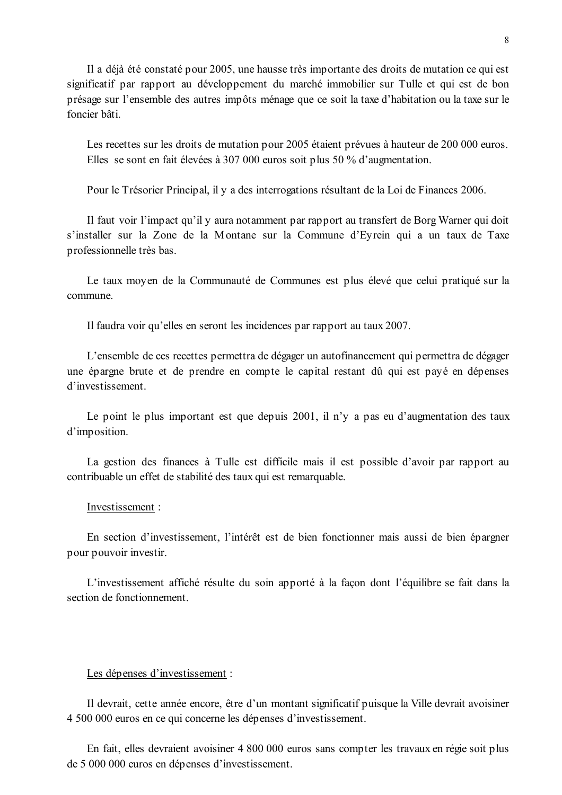Il a déjà été constaté pour 2005, une hausse très importante des droits de mutation ce qui est significatif par rapport au développement du marché immobilier sur Tulle et qui est de bon présage sur l'ensemble des autres impôts ménage que ce soit la taxe d'habitation ou la taxe sur le foncier bâti

Les recettes sur les droits de mutation pour 2005 étaient prévues à hauteur de 200 000 euros. Elles se sont en fait élevées à 307 000 euros soit plus 50 % d'augmentation.

Pour le Trésorier Principal, il y a des interrogations résultant de la Loi de Finances 2006.

Il faut voir l'impact qu'il y aura notamment par rapport au transfert de Borg Warner qui doit s'installer sur la Zone de la Montane sur la Commune d'Evrein qui a un taux de Taxe professionnelle très bas.

Le taux moyen de la Communauté de Communes est plus élevé que celui pratiqué sur la commune

Il faudra voir qu'elles en seront les incidences par rapport au taux 2007.

L'ensemble de ces recettes permettra de dégager un autofinancement qui permettra de dégager une épargne brute et de prendre en compte le capital restant dû qui est payé en dépenses d'investissement.

Le point le plus important est que depuis 2001, il n'y a pas eu d'augmentation des taux d'imposition.

La gestion des finances à Tulle est difficile mais il est possible d'avoir par rapport au contribuable un effet de stabilité des taux qui est remarquable.

#### Investissement:

En section d'investissement, l'intérêt est de bien fonctionner mais aussi de bien épargner pour pouvoir investir.

L'investissement affiché résulte du soin apporté à la façon dont l'équilibre se fait dans la section de fonctionnement.

#### Les dépenses d'investissement :

Il devrait, cette année encore, être d'un montant significatif puisque la Ville devrait avoisiner 4 500 000 euros en ce qui concerne les dépenses d'investissement.

En fait, elles devraient avoisiner 4 800 000 euros sans compter les travaux en régie soit plus de 5 000 000 euros en dépenses d'investissement.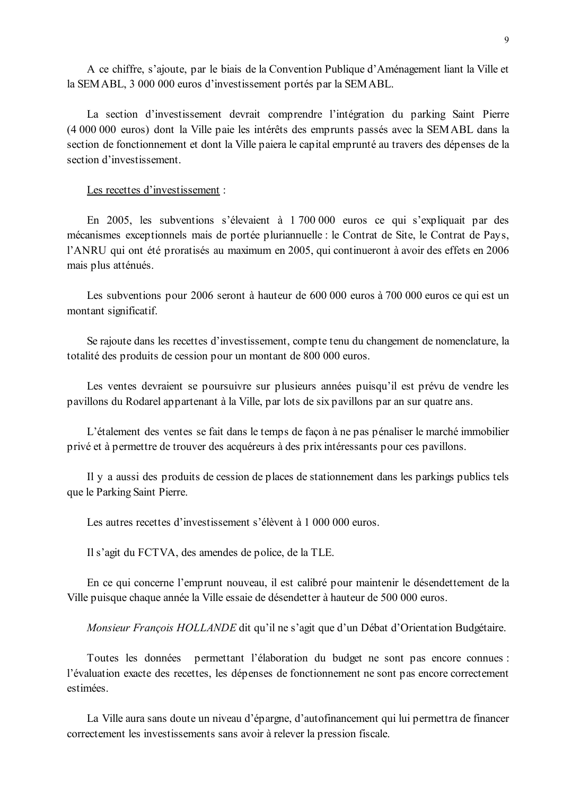A ce chiffre, s'ajoute, par le biais de la Convention Publique d'Aménagement liant la Ville et la SEMABL, 3 000 000 euros d'investissement portés par la SEMABL.

La section d'investissement devrait comprendre l'intégration du parking Saint Pierre (4 000 000 euros) dont la Ville paie les intérêts des emprunts passés avec la SEMABL dans la section de fonctionnement et dont la Ville paiera le capital emprunté au travers des dépenses de la section d'investissement.

#### Les recettes d'investissement :

En 2005, les subventions s'élevaient à 1 700 000 euros ce qui s'expliquait par des mécanismes exceptionnels mais de portée pluriannuelle : le Contrat de Site, le Contrat de Pays. l'ANRU qui ont été proratisés au maximum en 2005, qui continueront à avoir des effets en 2006 mais plus atténués.

Les subventions pour 2006 seront à hauteur de 600 000 euros à 700 000 euros ce qui est un montant significatif.

Se rajoute dans les recettes d'investissement, compte tenu du changement de nomenclature, la totalité des produits de cession pour un montant de 800 000 euros.

Les ventes devraient se poursuivre sur plusieurs années puisqu'il est prévu de vendre les pavillons du Rodarel appartenant à la Ville, par lots de six pavillons par an sur quatre ans.

L'étalement des ventes se fait dans le temps de façon à ne pas pénaliser le marché immobilier privé et à permettre de trouver des acquéreurs à des prix intéressants pour ces pavillons.

Il y a aussi des produits de cession de places de stationnement dans les parkings publics tels que le Parking Saint Pierre.

Les autres recettes d'investissement s'élèvent à 1 000 000 euros.

Il s'agit du FCTVA, des amendes de police, de la TLE.

En ce qui concerne l'emprunt nouveau, il est calibré pour maintenir le désendettement de la Ville puisque chaque année la Ville essaie de désendetter à hauteur de 500 000 euros.

Monsieur François HOLLANDE dit qu'il ne s'agit que d'un Débat d'Orientation Budgétaire.

Toutes les données permettant l'élaboration du budget ne sont pas encore connues : l'évaluation exacte des recettes, les dépenses de fonctionnement ne sont pas encore correctement estimées

La Ville aura sans doute un niveau d'épargne, d'autofinancement qui lui permettra de financer correctement les investissements sans avoir à relever la pression fiscale.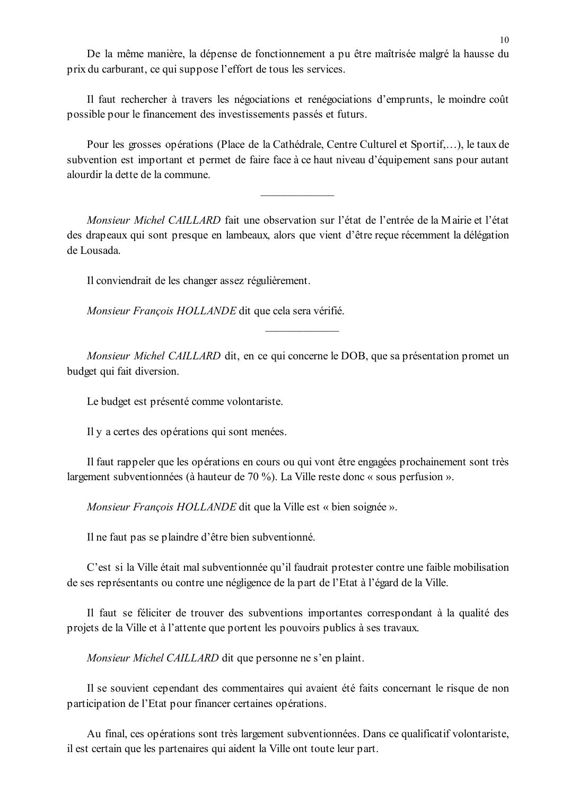De la même manière, la dépense de fonctionnement a pu être maîtrisée malgré la hausse du prix du carburant, ce qui suppose l'effort de tous les services.

Il faut rechercher à travers les négociations et renégociations d'emprunts, le moindre coût possible pour le financement des investissements passés et futurs.

Pour les grosses opérations (Place de la Cathédrale, Centre Culturel et Sportif....), le taux de subvention est important et permet de faire face à ce haut niveau d'équipement sans pour autant alourdir la dette de la commune.

Monsieur Michel CAILLARD fait une observation sur l'état de l'entrée de la Mairie et l'état des drapeaux qui sont presque en lambeaux, alors que vient d'être recue récemment la délégation de Lousada.

Il conviendrait de les changer assez régulièrement.

Monsieur François HOLLANDE dit que cela sera vérifié.

Monsieur Michel CAILLARD dit, en ce qui concerne le DOB, que sa présentation promet un budget qui fait diversion.

Le budget est présenté comme volontariste.

Il y a certes des opérations qui sont menées.

Il faut rappeler que les opérations en cours ou qui vont être engagées prochainement sont très largement subventionnées (à hauteur de 70 %). La Ville reste donc « sous perfusion ».

*Monsieur François HOLLANDE* dit que la Ville est « bien soignée ».

Il ne faut pas se plaindre d'être bien subventionné.

C'est si la Ville était mal subventionnée qu'il faudrait protester contre une faible mobilisation de ses représentants ou contre une négligence de la part de l'Etat à l'égard de la Ville.

Il faut se féliciter de trouver des subventions importantes correspondant à la qualité des projets de la Ville et à l'attente que portent les pouvoirs publics à ses travaux.

*Monsieur Michel CAILLARD* dit que personne ne s'en plaint.

Il se souvient cependant des commentaires qui avaient été faits concernant le risque de non participation de l'Etat pour financer certaines opérations.

Au final, ces opérations sont très largement subventionnées. Dans ce qualificatif volontariste, il est certain que les partenaires qui aident la Ville ont toute leur part.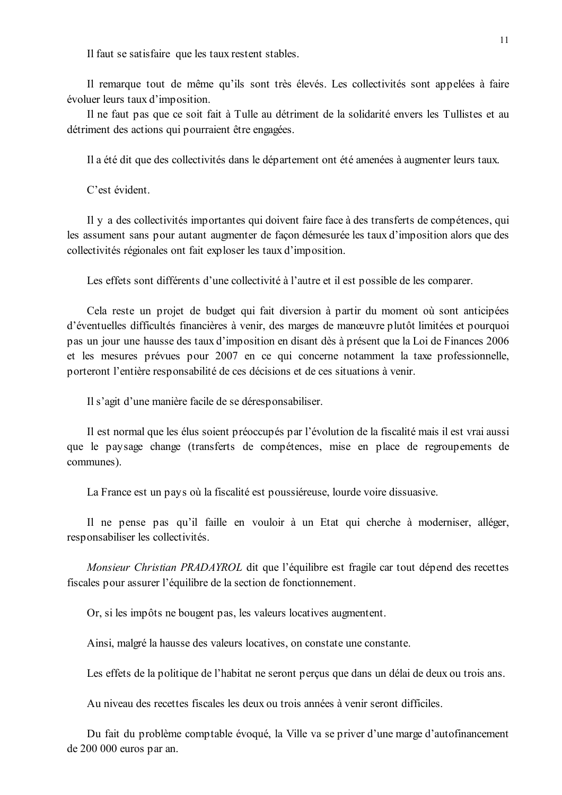Il faut se satisfaire que les taux restent stables.

Il remarque tout de même qu'ils sont très élevés. Les collectivités sont appelées à faire évoluer leurs taux d'imposition.

Il ne faut pas que ce soit fait à Tulle au détriment de la solidarité envers les Tullistes et au détriment des actions qui pourraient être engagées.

Il a été dit que des collectivités dans le département ont été amenées à augmenter leurs taux.

C'est évident

Il y a des collectivités importantes qui doivent faire face à des transferts de compétences, qui les assument sans pour autant augmenter de façon démesurée les taux d'imposition alors que des collectivités régionales ont fait exploser les taux d'imposition.

Les effets sont différents d'une collectivité à l'autre et il est possible de les comparer.

Cela reste un projet de budget qui fait diversion à partir du moment où sont anticipées d'éventuelles difficultés financières à venir, des marges de manœuvre plutôt limitées et pourquoi pas un jour une hausse des taux d'imposition en disant dès à présent que la Loi de Finances 2006 et les mesures prévues pour 2007 en ce qui concerne notamment la taxe professionnelle, porteront l'entière responsabilité de ces décisions et de ces situations à venir.

Il s'agit d'une manière facile de se déresponsabiliser.

Il est normal que les élus soient préoccupés par l'évolution de la fiscalité mais il est vrai aussi que le paysage change (transferts de compétences, mise en place de regroupements de communes).

La France est un pays où la fiscalité est poussiéreuse, lourde voire dissuasive.

Il ne pense pas qu'il faille en vouloir à un Etat qui cherche à moderniser, alléger, responsabiliser les collectivités.

Monsieur Christian PRADAYROL dit que l'équilibre est fragile car tout dépend des recettes fiscales pour assurer l'équilibre de la section de fonctionnement.

Or, si les impôts ne bougent pas, les valeurs locatives augmentent.

Ainsi, malgré la hausse des valeurs locatives, on constate une constante.

Les effets de la politique de l'habitat ne seront perçus que dans un délai de deux ou trois ans.

Au niveau des recettes fiscales les deux ou trois années à venir seront difficiles.

Du fait du problème comptable évoqué, la Ville va se priver d'une marge d'autofinancement de 200 000 euros par an.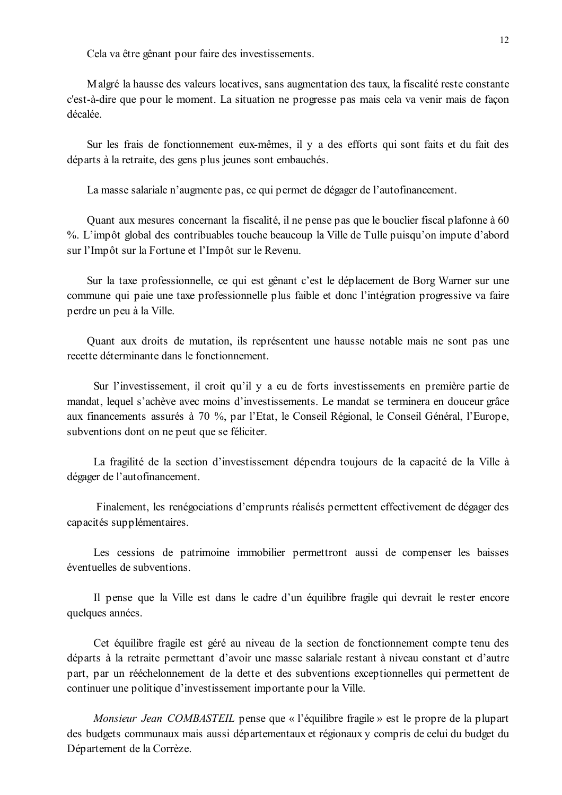Cela va être gênant pour faire des investissements.

Malgré la hausse des valeurs locatives, sans augmentation des taux, la fiscalité reste constante c'est-à-dire que pour le moment. La situation ne progresse pas mais cela va venir mais de facon décalée

Sur les frais de fonctionnement eux-mêmes, il y a des efforts qui sont faits et du fait des départs à la retraite, des gens plus jeunes sont embauchés.

La masse salariale n'augmente pas, ce qui permet de dégager de l'autofinancement.

Quant aux mesures concernant la fiscalité, il ne pense pas que le bouclier fiscal plafonne à 60 %. L'impôt global des contribuables touche beaucoup la Ville de Tulle puisqu'on impute d'abord sur l'Impôt sur la Fortune et l'Impôt sur le Revenu.

Sur la taxe professionnelle, ce qui est gênant c'est le déplacement de Borg Warner sur une commune qui paie une taxe professionnelle plus faible et donc l'intégration progressive va faire perdre un peu à la Ville.

Quant aux droits de mutation, ils représentent une hausse notable mais ne sont pas une recette déterminante dans le fonctionnement.

Sur l'investissement, il croit qu'il y a eu de forts investissements en première partie de mandat, lequel s'achève avec moins d'investissements. Le mandat se terminera en douceur grâce aux financements assurés à 70 %, par l'Etat, le Conseil Régional, le Conseil Général, l'Europe, subventions dont on ne peut que se féliciter.

La fragilité de la section d'investissement dépendra toujours de la capacité de la Ville à dégager de l'autofinancement.

Finalement, les renégociations d'emprunts réalisés permettent effectivement de dégager des capacités supplémentaires.

Les cessions de patrimoine immobilier permettront aussi de compenser les baisses éventuelles de subventions

Il pense que la Ville est dans le cadre d'un équilibre fragile qui devrait le rester encore quelques années.

Cet équilibre fragile est géré au niveau de la section de fonctionnement compte tenu des départs à la retraite permettant d'avoir une masse salariale restant à niveau constant et d'autre part, par un rééchelonnement de la dette et des subventions exceptionnelles qui permettent de continuer une politique d'investissement importante pour la Ville.

Monsieur Jean COMBASTEIL pense que « l'équilibre fragile » est le propre de la plupart des budgets communaux mais aussi départementaux et régionaux y compris de celui du budget du Département de la Corrèze.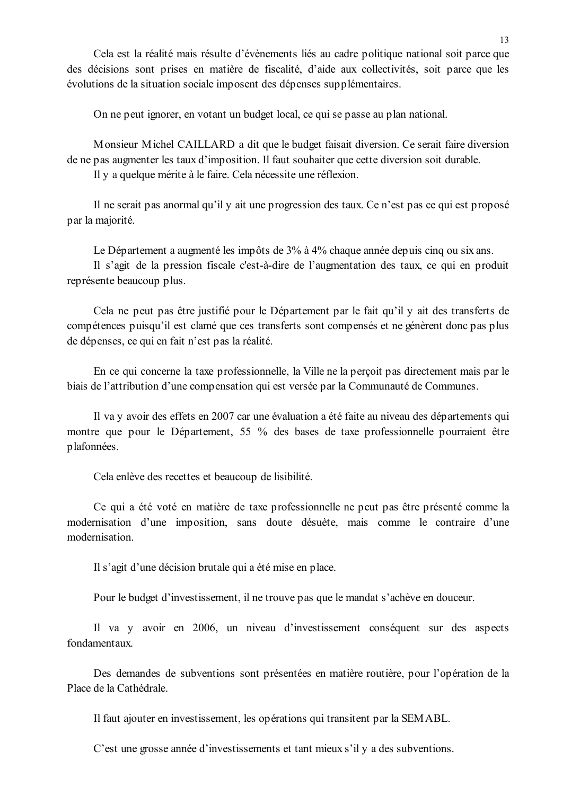On ne peut ignorer, en votant un budget local, ce qui se passe au plan national.

Monsieur Michel CAILLARD a dit que le budget faisait diversion. Ce serait faire diversion de ne pas augmenter les taux d'imposition. Il faut souhaiter que cette diversion soit durable.

Il y a quelque mérite à le faire. Cela nécessite une réflexion.

Il ne serait pas anormal qu'il y ait une progression des taux. Ce n'est pas ce qui est proposé par la majorité.

Le Département a augmenté les impôts de 3% à 4% chaque année depuis cinq ou six ans.

Il s'agit de la pression fiscale c'est-à-dire de l'augmentation des taux, ce qui en produit représente beaucoup plus.

Cela ne peut pas être justifié pour le Département par le fait qu'il y ait des transferts de compétences puisqu'il est clamé que ces transferts sont compensés et ne génèrent donc pas plus de dépenses, ce qui en fait n'est pas la réalité.

En ce qui concerne la taxe professionnelle, la Ville ne la percoit pas directement mais par le biais de l'attribution d'une compensation qui est versée par la Communauté de Communes.

Il va y avoir des effets en 2007 car une évaluation a été faite au niveau des départements qui montre que pour le Département, 55 % des bases de taxe professionnelle pourraient être plafonnées.

Cela enlève des recettes et beaucoup de lisibilité.

Ce qui a été voté en matière de taxe professionnelle ne peut pas être présenté comme la modernisation d'une imposition, sans doute désuète, mais comme le contraire d'une modernisation

Il s'agit d'une décision brutale qui a été mise en place.

Pour le budget d'investissement, il ne trouve pas que le mandat s'achève en douceur.

Il va v avoir en 2006, un niveau d'investissement conséquent sur des aspects fondamentaux.

Des demandes de subventions sont présentées en matière routière, pour l'opération de la Place de la Cathédrale

Il faut ajouter en investissement, les opérations qui transitent par la SEMABL.

C'est une grosse année d'investissements et tant mieux s'il y a des subventions.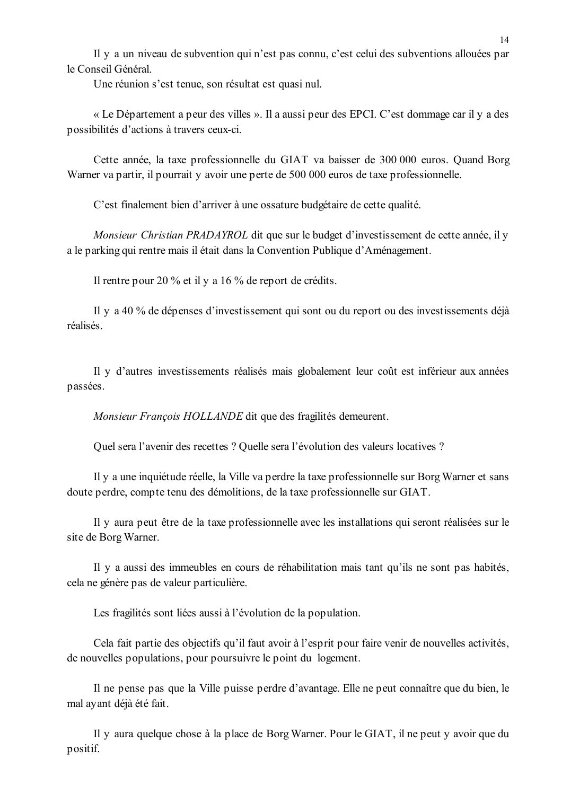Il y a un niveau de subvention qui n'est pas connu, c'est celui des subventions allouées par le Conseil Général

Une réunion s'est tenue, son résultat est quasi nul.

« Le Département a peur des villes ». Il a aussi peur des EPCI. C'est dommage car il y a des possibilités d'actions à travers ceux-ci.

Cette année, la taxe professionnelle du GIAT va baisser de 300 000 euros. Quand Borg Warner va partir, il pourrait y avoir une perte de 500 000 euros de taxe professionnelle.

C'est finalement bien d'arriver à une ossature budgétaire de cette qualité.

Monsieur Christian PRADAYROL dit que sur le budget d'investissement de cette année, il y a le parking qui rentre mais il était dans la Convention Publique d'Aménagement.

Il rentre pour 20 % et il y a 16 % de report de crédits.

Il y a 40 % de dépenses d'investissement qui sont ou du report ou des investissements déjà réalisés.

Il y d'autres investissements réalisés mais globalement leur coût est inférieur aux années passées.

Monsieur François HOLLANDE dit que des fragilités demeurent.

Quel sera l'avenir des recettes ? Quelle sera l'évolution des valeurs locatives ?

Il y a une inquiétude réelle, la Ville va perdre la taxe professionnelle sur Borg Warner et sans doute perdre, compte tenu des démolitions, de la taxe professionnelle sur GIAT.

Il y aura peut être de la taxe professionnelle avec les installations qui seront réalisées sur le site de Borg Warner.

Il y a aussi des immeubles en cours de réhabilitation mais tant qu'ils ne sont pas habités, cela ne génère pas de valeur particulière.

Les fragilités sont liées aussi à l'évolution de la population.

Cela fait partie des objectifs qu'il faut avoir à l'esprit pour faire venir de nouvelles activités, de nouvelles populations, pour poursuivre le point du logement.

Il ne pense pas que la Ville puisse perdre d'avantage. Elle ne peut connaître que du bien, le mal ayant déjà été fait.

Il y aura quelque chose à la place de Borg Warner. Pour le GIAT, il ne peut y avoir que du positif.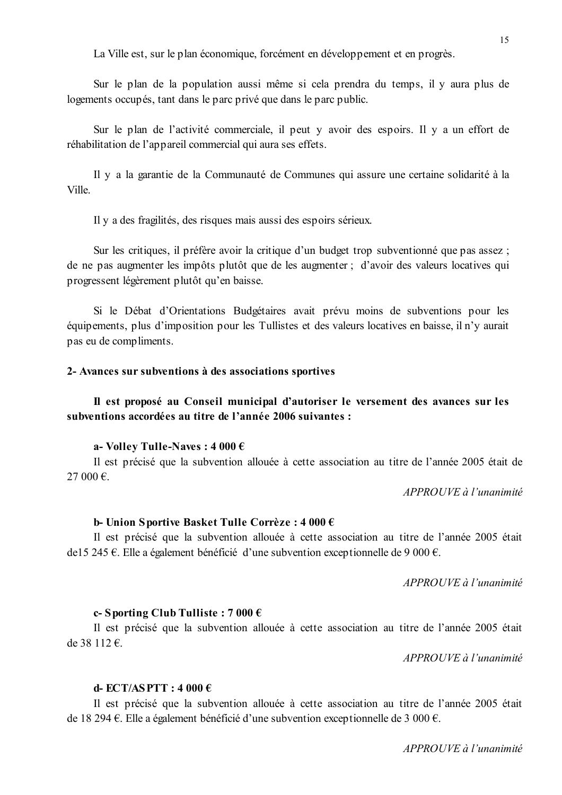La Ville est, sur le plan économique, forcément en développement et en progrès.

Sur le plan de la population aussi même si cela prendra du temps, il y aura plus de logements occupés, tant dans le parc privé que dans le parc public.

Sur le plan de l'activité commerciale, il peut y avoir des espoirs. Il y a un effort de réhabilitation de l'appareil commercial qui aura ses effets.

Il y a la garantie de la Communauté de Communes qui assure une certaine solidarité à la Ville

Il y a des fragilités, des risques mais aussi des espoirs sérieux.

Sur les critiques, il préfère avoir la critique d'un budget trop subventionné que pas assez ; de ne pas augmenter les impôts plutôt que de les augmenter ; d'avoir des valeurs locatives qui progressent légèrement plutôt qu'en baisse.

Si le Débat d'Orientations Budgétaires avait prévu moins de subventions pour les équipements, plus d'imposition pour les Tullistes et des valeurs locatives en baisse, il n'y aurait pas eu de compliments.

#### 2- Avances sur subventions à des associations sportives

### Il est proposé au Conseil municipal d'autoriser le versement des avances sur les subventions accordées au titre de l'année 2006 suivantes :

#### a- Volley Tulle-Naves:  $4000 \in$

Il est précisé que la subvention allouée à cette association au titre de l'année 2005 était de 27 000 $\varepsilon$ 

APPROUVE à l'unanimité

#### b- Union Sportive Basket Tulle Corrèze : 4 000  $\epsilon$

Il est précisé que la subvention allouée à cette association au titre de l'année 2005 était de 15 245 €. Elle a également bénéficié d'une subvention exceptionnelle de 9 000 €.

APPROUVE à l'unanimité

#### c-Sporting Club Tulliste:  $7000 \in$

Il est précisé que la subvention allouée à cette association au titre de l'année 2005 était de 38 112 €.

 $APPROIIVE$ à l'unanimité

#### d-ECT/ASPTT:  $4000 \text{ } \in$

Il est précisé que la subvention allouée à cette association au titre de l'année 2005 était de 18 294 €. Elle a également bénéficié d'une subvention exceptionnelle de 3 000 €.

APPROUVE à l'unanimité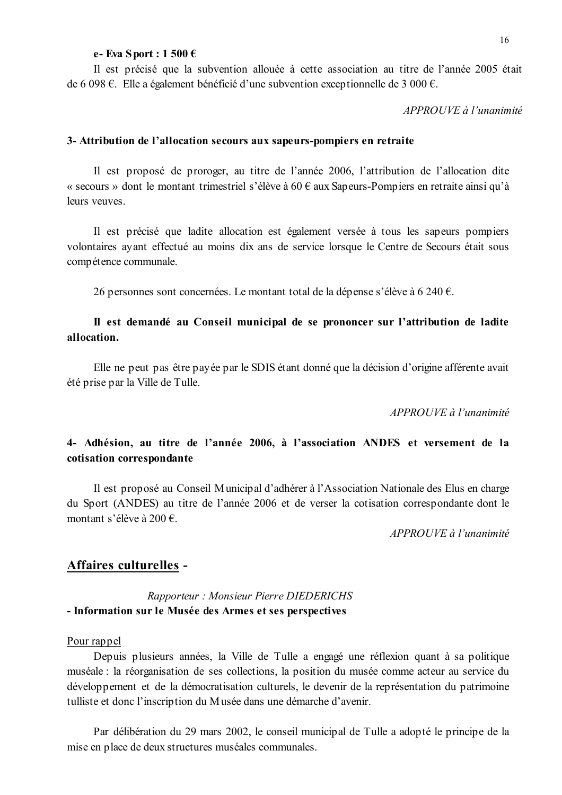#### e-Eva Sport: 1 500  $\epsilon$

Il est précisé que la subvention allouée à cette association au titre de l'année 2005 était de 6 098 €. Elle a également bénéficié d'une subvention exceptionnelle de 3 000 €.

 $APPROIIVE \d{d} l'unanimit\acute{e}$ 

#### 3- Attribution de l'allocation secours aux sapeurs-pompiers en retraite

Il est proposé de proroger, au titre de l'année 2006, l'attribution de l'allocation dite « secours » dont le montant trimestriel s'élève à 60  $\epsilon$  aux Sapeurs-Pompiers en retraite ainsi qu'à leurs veuves.

Il est précisé que ladite allocation est également versée à tous les sapeurs pompiers volontaires avant effectué au moins dix ans de service lorsque le Centre de Secours était sous compétence communale.

26 personnes sont concernées. Le montant total de la dépense s'élève à 6 240 €.

### Il est demandé au Conseil municipal de se prononcer sur l'attribution de ladite allocation.

Elle ne peut pas être payée par le SDIS étant donné que la décision d'origine afférente avait été prise par la Ville de Tulle.

APPROUVE à l'unanimité

### 4- Adhésion, au titre de l'année 2006, à l'association ANDES et versement de la cotisation correspondante

Il est proposé au Conseil Municipal d'adhérer à l'Association Nationale des Elus en charge du Sport (ANDES) au titre de l'année 2006 et de verser la cotisation correspondante dont le montant s'élève à 200 €.

 $APPROIIVE$ à l'unanimité

#### Affaires culturelles -

Rapporteur: Monsieur Pierre DIEDERICHS - Information sur le Musée des Armes et ses perspectives

#### Pour rappel

Depuis plusieurs années, la Ville de Tulle a engagé une réflexion quant à sa politique muséale : la réorganisation de ses collections, la position du musée comme acteur au service du développement et de la démocratisation culturels, le devenir de la représentation du patrimoine tulliste et donc l'inscription du Musée dans une démarche d'avenir.

Par délibération du 29 mars 2002, le conseil municipal de Tulle a adopté le principe de la mise en place de deux structures muséales communales.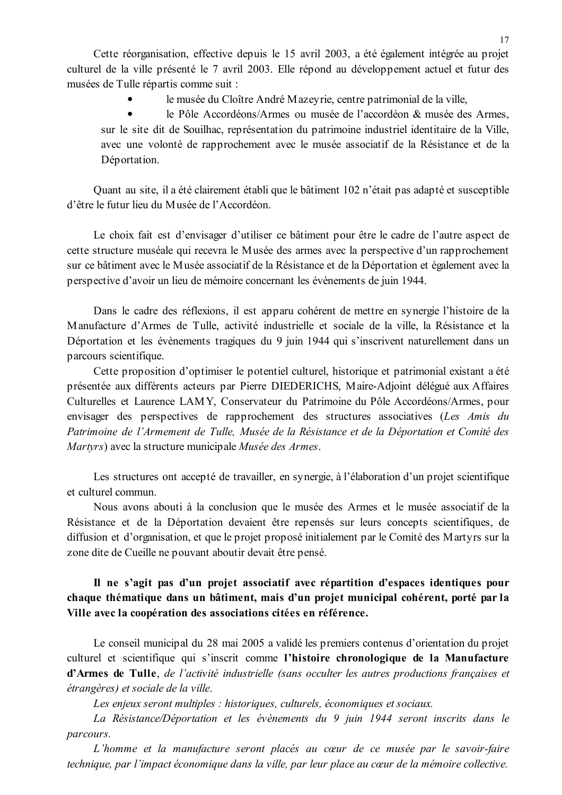Cette réorganisation, effective depuis le 15 avril 2003, a été également intégrée au projet culturel de la ville présenté le 7 avril 2003. Elle répond au développement actuel et futur des musées de Tulle répartis comme suit :

le musée du Cloître André Mazevrie, centre patrimonial de la ville.

 $\bullet$ le Pôle Accordéons/Armes ou musée de l'accordéon & musée des Armes, sur le site dit de Souilhac, représentation du patrimoine industriel identitaire de la Ville, avec une volonté de rapprochement avec le musée associatif de la Résistance et de la Déportation.

Quant au site, il a été clairement établi que le bâtiment 102 n'était pas adapté et susceptible d'être le futur lieu du Musée de l'Accordéon

Le choix fait est d'envisager d'utiliser ce bâtiment pour être le cadre de l'autre aspect de cette structure muséale qui recevra le Musée des armes avec la perspective d'un rapprochement sur ce bâtiment avec le Musée associatif de la Résistance et de la Déportation et également avec la perspective d'avoir un lieu de mémoire concernant les évènements de juin 1944.

Dans le cadre des réflexions, il est apparu cohérent de mettre en synergie l'histoire de la Manufacture d'Armes de Tulle, activité industrielle et sociale de la ville, la Résistance et la Déportation et les évènements tragiques du 9 juin 1944 qui s'inscrivent naturellement dans un parcours scientifique.

Cette proposition d'optimiser le potentiel culturel, historique et patrimonial existant a été présentée aux différents acteurs par Pierre DIEDERICHS, Maire-Adjoint délégué aux Affaires Culturelles et Laurence LAMY, Conservateur du Patrimoine du Pôle Accordéons/Armes, pour envisager des perspectives de rapprochement des structures associatives (Les Amis du Patrimoine de l'Armement de Tulle, Musée de la Résistance et de la Déportation et Comité des Martyrs) avec la structure municipale Musée des Armes.

Les structures ont accepté de travailler, en synergie, à l'élaboration d'un projet scientifique et culturel commun.

Nous avons abouti à la conclusion que le musée des Armes et le musée associatif de la Résistance et de la Déportation devaient être repensés sur leurs concepts scientifiques, de diffusion et d'organisation, et que le projet proposé initialement par le Comité des Martyrs sur la zone dite de Cueille ne pouvant aboutir devait être pensé.

### Il ne s'agit pas d'un projet associatif avec répartition d'espaces identiques pour chaque thématique dans un bâtiment, mais d'un projet municipal cohérent, porté par la Ville avec la coopération des associations citées en référence.

Le conseil municipal du 28 mai 2005 a validé les premiers contenus d'orientation du projet culturel et scientifique qui s'inscrit comme l'histoire chronologique de la Manufacture d'Armes de Tulle, de l'activité industrielle (sans occulter les autres productions françaises et étrangères) et sociale de la ville.

Les enjeux seront multiples : historiques, culturels, économiques et sociaux.

La Résistance/Déportation et les évènements du 9 juin 1944 seront inscrits dans le parcours.

L'homme et la manufacture seront placés au cœur de ce musée par le savoir-faire technique, par l'impact économique dans la ville, par leur place au cœur de la mémoire collective.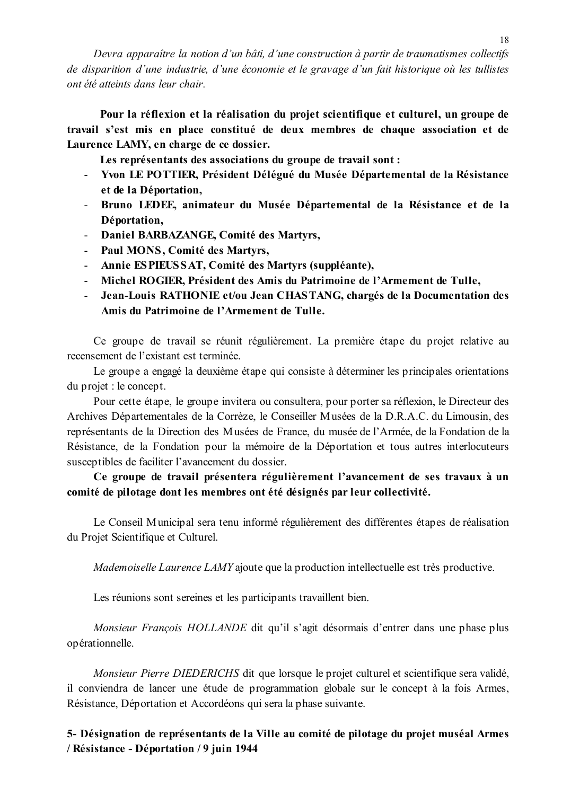Devra apparaître la notion d'un bâti, d'une construction à partir de traumatismes collectifs de disparition d'une industrie, d'une économie et le gravage d'un fait historique où les tullistes ont été atteints dans leur chair.

Pour la réflexion et la réalisation du projet scientifique et culturel, un groupe de travail s'est mis en place constitué de deux membres de chaque association et de Laurence LAMY, en charge de ce dossier.

Les représentants des associations du groupe de travail sont :

- Yvon LE POTTIER, Président Délégué du Musée Départemental de la Résistance et de la Déportation,
- Bruno LEDEE, animateur du Musée Départemental de la Résistance et de la Déportation,
- Daniel BARBAZANGE, Comité des Martyrs,
- Paul MONS, Comité des Martyrs,
- Annie ESPIEUSSAT, Comité des Martyrs (suppléante),
- Michel ROGIER. Président des Amis du Patrimoine de l'Armement de Tulle.
- Jean-Louis RATHONIE et/ou Jean CHASTANG, chargés de la Documentation des Amis du Patrimoine de l'Armement de Tulle.

Ce groupe de travail se réunit régulièrement. La première étape du projet relative au recensement de l'existant est terminée.

Le groupe a engagé la deuxième étape qui consiste à déterminer les principales orientations du projet : le concept.

Pour cette étape, le groupe invitera ou consultera, pour porter sa réflexion, le Directeur des Archives Départementales de la Corrèze, le Conseiller Musées de la D.R.A.C. du Limousin, des représentants de la Direction des Musées de France, du musée de l'Armée, de la Fondation de la Résistance, de la Fondation pour la mémoire de la Déportation et tous autres interlocuteurs susceptibles de faciliter l'avancement du dossier.

Ce groupe de travail présentera régulièrement l'avancement de ses travaux à un comité de pilotage dont les membres ont été désignés par leur collectivité.

Le Conseil Municipal sera tenu informé régulièrement des différentes étapes de réalisation du Projet Scientifique et Culturel.

Mademoiselle Laurence LAMY ajoute que la production intellectuelle est très productive.

Les réunions sont sereines et les participants travaillent bien.

*Monsieur Francois HOLLANDE* dit qu'il s'agit désormais d'entrer dans une phase plus opérationnelle.

Monsieur Pierre DIEDERICHS dit que lorsque le projet culturel et scientifique sera validé, il conviendra de lancer une étude de programmation globale sur le concept à la fois Armes, Résistance, Déportation et Accordéons qui sera la phase suivante.

### 5- Désignation de représentants de la Ville au comité de pilotage du projet muséal Armes / Résistance - Déportation / 9 juin 1944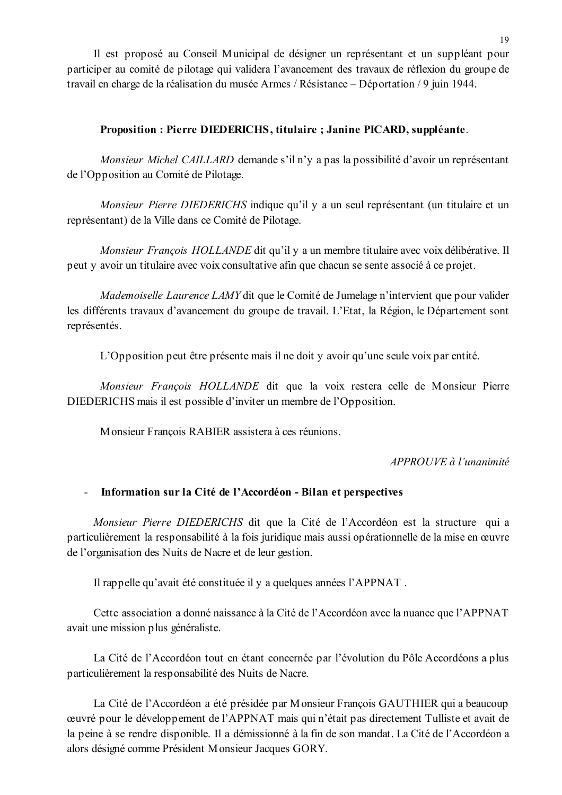Il est proposé au Conseil Municipal de désigner un représentant et un suppléant pour participer au comité de pilotage qui validera l'avancement des travaux de réflexion du groupe de travail en charge de la réalisation du musée Armes / Résistance – Déportation / 9 juin 1944.

### Proposition : Pierre DIEDERICHS, titulaire ; Janine PICARD, suppléante.

Monsieur Michel CAILLARD demande s'il n'y a pas la possibilité d'avoir un représentant de l'Opposition au Comité de Pilotage.

Monsieur Pierre DIEDERICHS indique qu'il y a un seul représentant (un titulaire et un représentant) de la Ville dans ce Comité de Pilotage.

Monsieur François HOLLANDE dit qu'il y a un membre titulaire avec voix délibérative. Il peut y avoir un titulaire avec voix consultative afin que chacun se sente associé à ce projet.

Mademoiselle Laurence LAMY dit que le Comité de Jumelage n'intervient que pour valider les différents travaux d'avancement du groupe de travail. L'Etat, la Région, le Département sont représentés.

L'Opposition peut être présente mais il ne doit y avoir qu'une seule voix par entité.

Monsieur François HOLLANDE dit que la voix restera celle de Monsieur Pierre DIEDERICHS mais il est possible d'inviter un membre de l'Opposition.

Monsieur François RABIER assistera à ces réunions.

 $APPROUVE \d{d} l'unanimit$ 

#### - Information sur la Cité de l'Accordéon - Bilan et perspectives

Monsieur Pierre DIEDERICHS dit que la Cité de l'Accordéon est la structure qui a particulièrement la responsabilité à la fois juridique mais aussi opérationnelle de la mise en œuvre de l'organisation des Nuits de Nacre et de leur gestion.

Il rappelle qu'avait été constituée il y a quelques années l'APPNAT.

Cette association a donné naissance à la Cité de l'Accordéon avec la nuance que l'APPNAT avait une mission plus généraliste.

La Cité de l'Accordéon tout en étant concernée par l'évolution du Pôle Accordéons a plus particulièrement la responsabilité des Nuits de Nacre.

La Cité de l'Accordéon a été présidée par Monsieur François GAUTHIER qui a beaucoup œuvré pour le développement de l'APPNAT mais qui n'était pas directement Tulliste et avait de la peine à se rendre disponible. Il a démissionné à la fin de son mandat. La Cité de l'Accordéon a alors désigné comme Président Monsieur Jacques GORY.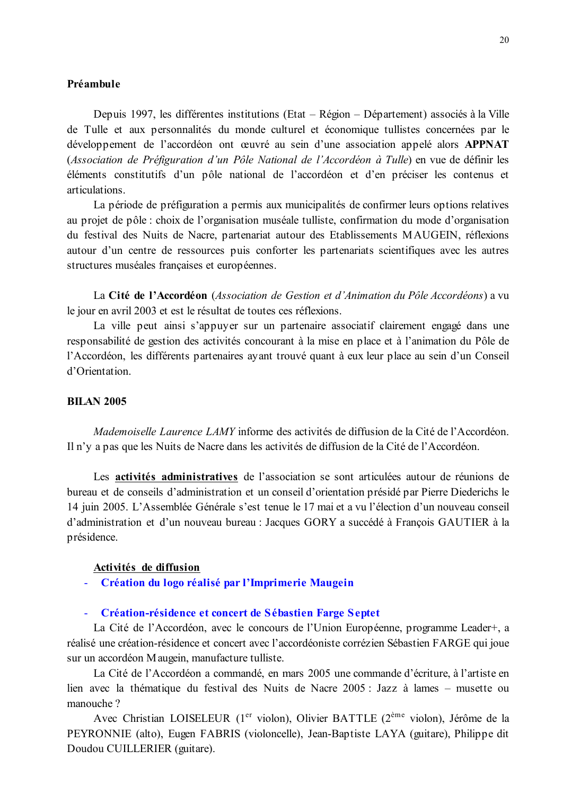#### Préambule

Depuis 1997, les différentes institutions (Etat – Région – Département) associés à la Ville de Tulle et aux personnalités du monde culturel et économique tullistes concernées par le développement de l'accordéon ont œuvré au sein d'une association appelé alors APPNAT (Association de Préfiguration d'un Pôle National de l'Accordéon à Tulle) en vue de définir les éléments constitutifs d'un pôle national de l'accordéon et d'en préciser les contenus et articulations

La période de préfiguration a permis aux municipalités de confirmer leurs options relatives au projet de pôle : choix de l'organisation muséale tulliste, confirmation du mode d'organisation du festival des Nuits de Nacre, partenariat autour des Etablissements MAUGEIN, réflexions autour d'un centre de ressources puis conforter les partenariats scientifiques avec les autres structures muséales françaises et européennes.

La Cité de l'Accordéon (Association de Gestion et d'Animation du Pôle Accordéons) a vu le jour en avril 2003 et est le résultat de toutes ces réflexions.

La ville peut ainsi s'appuyer sur un partenaire associatif clairement engagé dans une responsabilité de gestion des activités concourant à la mise en place et à l'animation du Pôle de l'Accordéon, les différents partenaires ayant trouvé quant à eux leur place au sein d'un Conseil d'Orientation

#### **BILAN 2005**

*Mademoiselle Laurence LAMY* informe des activités de diffusion de la Cité de l'Accordéon. Il n'y a pas que les Nuits de Nacre dans les activités de diffusion de la Cité de l'Accordéon.

Les **activités administratives** de l'association se sont articulées autour de réunions de bureau et de conseils d'administration et un conseil d'orientation présidé par Pierre Diederichs le 14 juin 2005. L'Assemblée Générale s'est tenue le 17 mai et a vu l'élection d'un nouveau conseil d'administration et d'un nouveau bureau : Jacques GORY a succédé à François GAUTIER à la présidence.

#### Activités de diffusion

- Création du logo réalisé par l'Imprimerie Maugein

#### $\omega_{\rm{eff}}$ Création-résidence et concert de Sébastien Farge Septet

La Cité de l'Accordéon, avec le concours de l'Union Européenne, programme Leader+, a réalisé une création-résidence et concert avec l'accordéoniste corrézien Sébastien FARGE qui joue sur un accordéon Maugein, manufacture tulliste.

La Cité de l'Accordéon a commandé, en mars 2005 une commande d'écriture, à l'artiste en lien avec la thématique du festival des Nuits de Nacre 2005 : Jazz à lames – musette ou manouche?

Avec Christian LOISELEUR (1<sup>er</sup> violon), Olivier BATTLE (2<sup>ème</sup> violon), Jérôme de la PEYRONNIE (alto), Eugen FABRIS (violoncelle), Jean-Baptiste LAYA (guitare), Philippe dit Doudou CUILLERIER (guitare).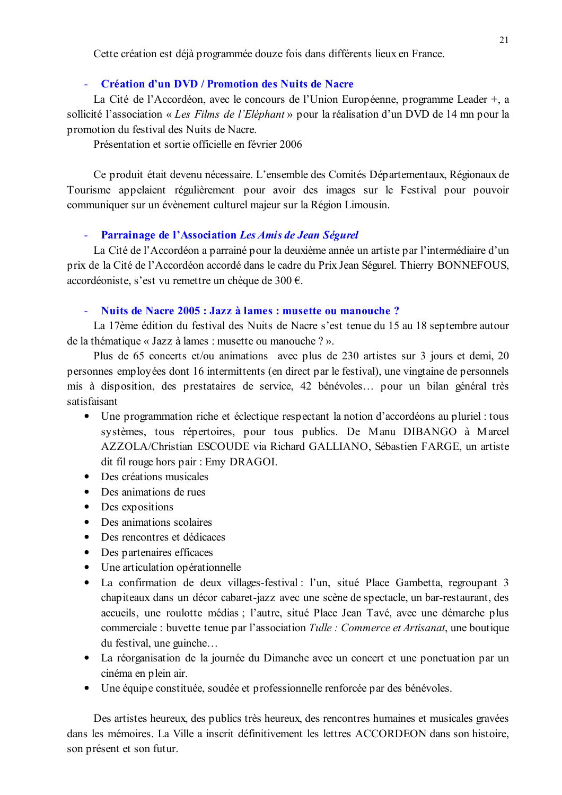Cette création est déjà programmée douze fois dans différents lieux en France.

#### Création d'un DVD / Promotion des Nuits de Nacre

La Cité de l'Accordéon, avec le concours de l'Union Européenne, programme Leader +, a sollicité l'association « Les Films de l'Eléphant » pour la réalisation d'un DVD de 14 mn pour la promotion du festival des Nuits de Nacre.

Présentation et sortie officielle en février 2006

Ce produit était devenu nécessaire. L'ensemble des Comités Départementaux, Régionaux de Tourisme appelaient régulièrement pour avoir des images sur le Festival pour pouvoir communiquer sur un évènement culturel majeur sur la Région Limousin.

#### Parrainage de l'Association Les Amis de Jean Ségurel  $\Delta \sim 10^4$

La Cité de l'Accordéon a parrainé pour la deuxième année un artiste par l'intermédiaire d'un prix de la Cité de l'Accordéon accordé dans le cadre du Prix Jean Ségurel. Thierry BONNEFOUS, accordéoniste, s'est vu remettre un chèque de 300 €.

#### - Nuits de Nacre 2005 : Jazz à lames : musette ou manouche?

La 17ème édition du festival des Nuits de Nacre s'est tenue du 15 au 18 septembre autour de la thématique « Jazz à lames : musette ou manouche ? ».

Plus de 65 concerts et/ou animations avec plus de 230 artistes sur 3 jours et demi, 20 personnes employées dont 16 intermittents (en direct par le festival), une vingtaine de personnels mis à disposition, des prestataires de service, 42 bénévoles... pour un bilan général très satisfaisant

- Une programmation riche et éclectique respectant la notion d'accordéons au pluriel : tous systèmes, tous répertoires, pour tous publics. De Manu DIBANGO à Marcel AZZOLA/Christian ESCOUDE via Richard GALLIANO, Sébastien FARGE, un artiste dit fil rouge hors pair : Emy DRAGOI.
- Des créations musicales
- $\bullet$  Des animations de rues
- Des expositions
- Des animations scolaires
- Des rencontres et dédicaces
- Des partenaires efficaces
- Une articulation opérationnelle
- La confirmation de deux villages-festival : l'un, situé Place Gambetta, regroupant 3 chapiteaux dans un décor cabaret-jazz avec une scène de spectacle, un bar-restaurant, des accueils, une roulotte médias ; l'autre, situé Place Jean Tavé, avec une démarche plus commerciale : buvette tenue par l'association Tulle : Commerce et Artisanat, une boutique du festival, une guinche...
- La réorganisation de la journée du Dimanche avec un concert et une ponctuation par un cinéma en plein air.
- Une équipe constituée, soudée et professionnelle renforcée par des bénévoles.

Des artistes heureux, des publics très heureux, des rencontres humaines et musicales gravées dans les mémoires. La Ville a inscrit définitivement les lettres ACCORDEON dans son histoire, son présent et son futur.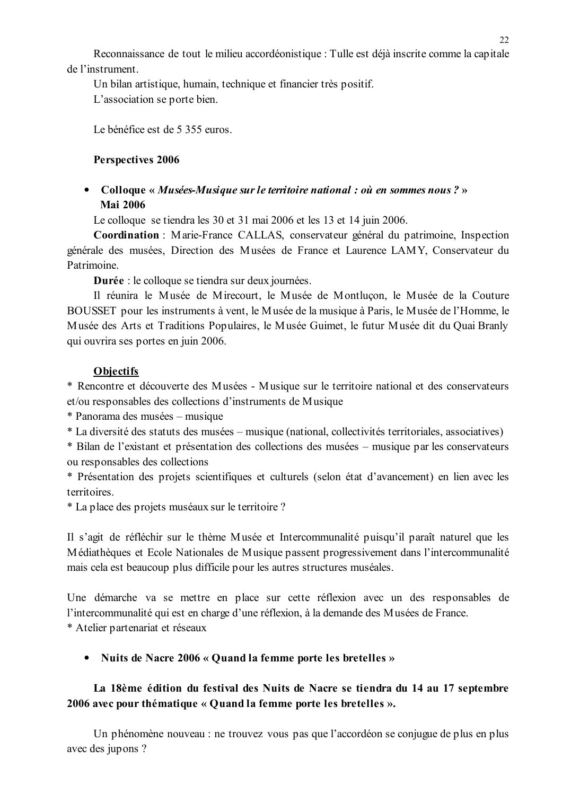Reconnaissance de tout le milieu accordéonistique : Tulle est déjà inscrite comme la capitale de l'instrument

Un bilan artistique, humain, technique et financier très positif. L'association se porte bien.

Le bénéfice est de 5 355 euros.

### Perspectives 2006

### • Colloque « Musées-Musique sur le territoire national : où en sommes nous ? » **Mai 2006**

Le colloque se tiendra les 30 et 31 mai 2006 et les 13 et 14 juin 2006.

Coordination : Marie-France CALLAS, conservateur général du patrimoine, Inspection générale des musées, Direction des Musées de France et Laurence LAMY, Conservateur du Patrimoine.

**Durée** : le colloque se tiendra sur deux journées.

Il réunira le Musée de Mirecourt, le Musée de Montlucon, le Musée de la Couture BOUSSET pour les instruments à vent, le Musée de la musique à Paris, le Musée de l'Homme, le Musée des Arts et Traditions Populaires, le Musée Guimet, le futur Musée dit du Quai Branly qui ouvrira ses portes en juin 2006.

### **Objectifs**

\* Rencontre et découverte des Musées - Musique sur le territoire national et des conservateurs et/ou responsables des collections d'instruments de Musique

\* Panorama des musées – musique

\* La diversité des statuts des musées – musique (national, collectivités territoriales, associatives)

\* Bilan de l'existant et présentation des collections des musées – musique par les conservateurs ou responsables des collections

\* Présentation des projets scientifiques et culturels (selon état d'avancement) en lien avec les territoires.

\* La place des projets muséaux sur le territoire?

Il s'agit de réfléchir sur le thème Musée et Intercommunalité puisqu'il paraît naturel que les Médiathèques et Ecole Nationales de Musique passent progressivement dans l'intercommunalité mais cela est beaucoup plus difficile pour les autres structures muséales.

Une démarche va se mettre en place sur cette réflexion avec un des responsables de l'intercommunalité qui est en charge d'une réflexion, à la demande des Musées de France. \* Atelier partenariat et réseaux

• Nuits de Nacre 2006 « Ouand la femme porte les bretelles »

### La 18ème édition du festival des Nuits de Nacre se tiendra du 14 au 17 septembre 2006 avec pour thématique « Quand la femme porte les bretelles ».

Un phénomène nouveau : ne trouvez vous pas que l'accordéon se conjugue de plus en plus avec des jupons ?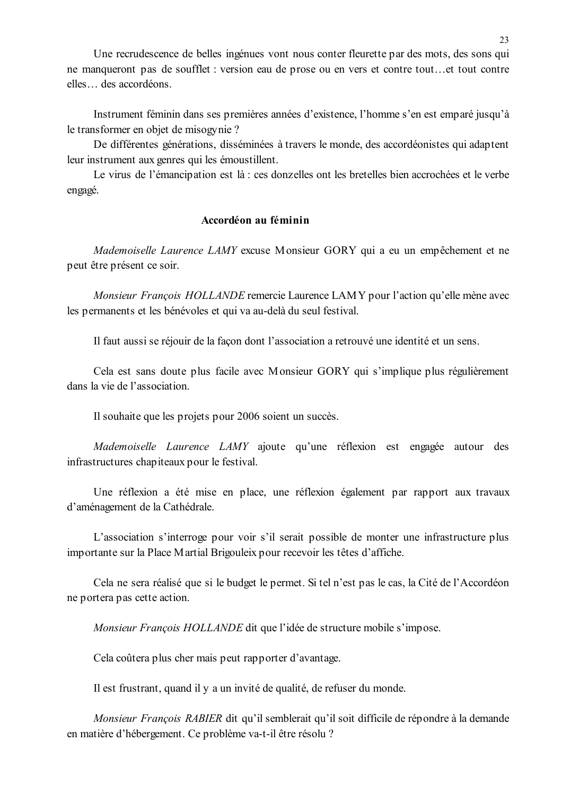Une recrudescence de belles ingénues vont nous conter fleurette par des mots, des sons qui ne manqueront pas de soufflet : version eau de prose ou en vers et contre tout...et tout contre elles... des accordéons.

Instrument féminin dans ses premières années d'existence, l'homme s'en est emparé jusqu'à le transformer en objet de misogynie?

De différentes générations, disséminées à travers le monde, des accordéonistes qui adaptent leur instrument aux genres qui les émoustillent.

Le virus de l'émancipation est là : ces donzelles ont les bretelles bien accrochées et le verbe engagé.

#### Accordéon au féminin

Mademoiselle Laurence LAMY excuse Monsieur GORY qui a eu un empêchement et ne peut être présent ce soir.

Monsieur François HOLLANDE remercie Laurence LAMY pour l'action qu'elle mène avec les permanents et les bénévoles et qui va au-delà du seul festival.

Il faut aussi se réjouir de la façon dont l'association a retrouvé une identité et un sens.

Cela est sans doute plus facile avec Monsieur GORY qui s'implique plus régulièrement dans la vie de l'association.

Il souhaite que les projets pour 2006 soient un succès.

Mademoiselle Laurence LAMY ajoute qu'une réflexion est engagée autour des infrastructures chapiteaux pour le festival.

Une réflexion a été mise en place, une réflexion également par rapport aux travaux d'aménagement de la Cathédrale.

L'association s'interroge pour voir s'il serait possible de monter une infrastructure plus importante sur la Place Martial Brigouleix pour recevoir les têtes d'affiche.

Cela ne sera réalisé que si le budget le permet. Si tel n'est pas le cas, la Cité de l'Accordéon ne portera pas cette action.

Monsieur François HOLLANDE dit que l'idée de structure mobile s'impose.

Cela coûtera plus cher mais peut rapporter d'avantage.

Il est frustrant, quand il y a un invité de qualité, de refuser du monde.

Monsieur François RABIER dit qu'il semblerait qu'il soit difficile de répondre à la demande en matière d'hébergement. Ce problème va-t-il être résolu ?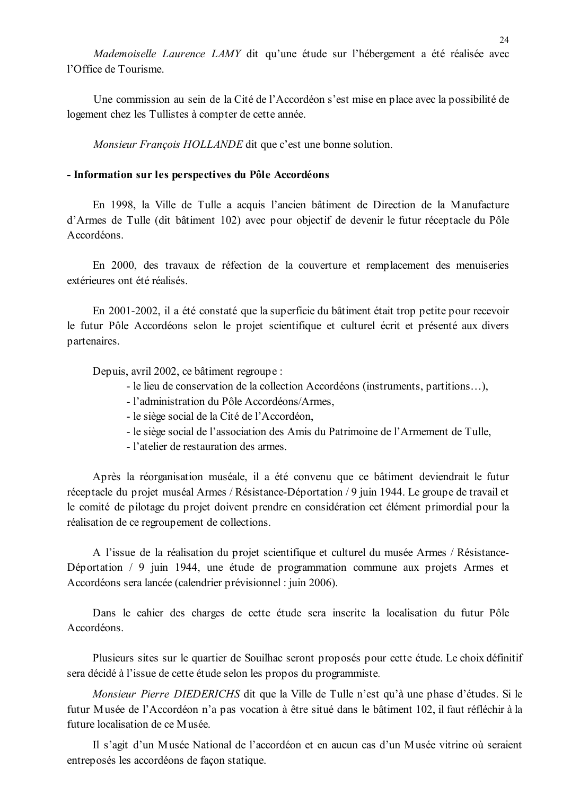Mademoiselle Laurence LAMY dit qu'une étude sur l'hébergement a été réalisée avec l'Office de Tourisme

Une commission au sein de la Cité de l'Accordéon s'est mise en place avec la possibilité de logement chez les Tullistes à compter de cette année.

Monsieur François HOLLANDE dit que c'est une bonne solution.

#### - Information sur les perspectives du Pôle Accordéons

En 1998, la Ville de Tulle a acquis l'ancien bâtiment de Direction de la Manufacture d'Armes de Tulle (dit bâtiment 102) avec pour objectif de devenir le futur réceptacle du Pôle Accordéons

En 2000, des travaux de réfection de la couverture et remplacement des menuiseries extérieures ont été réalisés

En 2001-2002, il a été constaté que la superficie du bâtiment était trop petite pour recevoir le futur Pôle Accordéons selon le projet scientifique et culturel écrit et présenté aux divers partenaires.

Depuis, avril 2002, ce bâtiment regroupe :

- le lieu de conservation de la collection Accordéons (instruments, partitions...),
- l'administration du Pôle Accordéons/Armes.
- le siège social de la Cité de l'Accordéon,
- le siège social de l'association des Amis du Patrimoine de l'Armement de Tulle,
- l'atelier de restauration des armes

Après la réorganisation muséale, il a été convenu que ce bâtiment deviendrait le futur réceptacle du projet muséal Armes / Résistance-Déportation / 9 juin 1944. Le groupe de travail et le comité de pilotage du projet doivent prendre en considération cet élément primordial pour la réalisation de ce regroupement de collections.

A l'issue de la réalisation du projet scientifique et culturel du musée Armes / Résistance-Déportation / 9 juin 1944, une étude de programmation commune aux projets Armes et Accordéons sera lancée (calendrier prévisionnel : juin 2006).

Dans le cahier des charges de cette étude sera inscrite la localisation du futur Pôle A ceordéons

Plusieurs sites sur le quartier de Souilhac seront proposés pour cette étude. Le choix définitif sera décidé à l'issue de cette étude selon les propos du programmiste.

*Monsieur Pierre DIEDERICHS* dit que la Ville de Tulle n'est qu'à une phase d'études. Si le futur Musée de l'Accordéon n'a pas vocation à être situé dans le bâtiment 102, il faut réfléchir à la future localisation de ce Musée

Il s'agit d'un Musée National de l'accordéon et en aucun cas d'un Musée vitrine où seraient entreposés les accordéons de façon statique.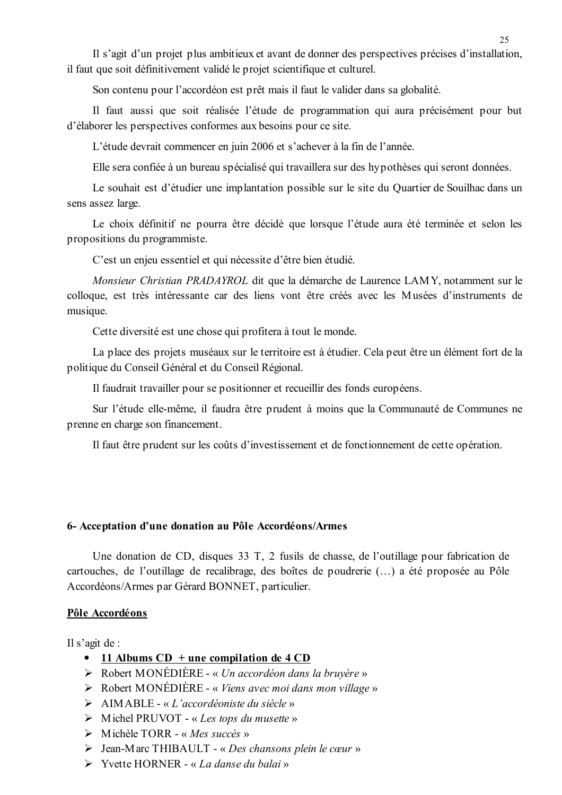Il s'agit d'un projet plus ambitieux et avant de donner des perspectives précises d'installation, il faut que soit définitivement validé le projet scientifique et culturel.

Son contenu pour l'accordéon est prêt mais il faut le valider dans sa globalité.

Il faut aussi que soit réalisée l'étude de programmation qui aura précisément pour but d'élaborer les perspectives conformes aux besoins pour ce site.

L'étude devrait commencer en juin 2006 et s'achever à la fin de l'année.

Elle sera confiée à un bureau spécialisé qui travaillera sur des hypothèses qui seront données.

Le souhait est d'étudier une implantation possible sur le site du Quartier de Souilhac dans un sens assez large.

Le choix définitif ne pourra être décidé que lorsque l'étude aura été terminée et selon les propositions du programmiste.

C'est un enjeu essentiel et qui nécessite d'être bien étudié.

Monsieur Christian PRADAYROL dit que la démarche de Laurence LAMY, notamment sur le colloque, est très intéressante car des liens vont être créés avec les Musées d'instruments de musique.

Cette diversité est une chose qui profitera à tout le monde.

La place des projets muséaux sur le territoire est à étudier. Cela peut être un élément fort de la politique du Conseil Général et du Conseil Régional.

Il faudrait travailler pour se positionner et recueillir des fonds européens.

Sur l'étude elle-même, il faudra être prudent à moins que la Communauté de Communes ne prenne en charge son financement.

Il faut être prudent sur les coûts d'investissement et de fonctionnement de cette opération.

#### 6- Acceptation d'une donation au Pôle Accordéons/Armes

Une donation de CD, disques 33 T, 2 fusils de chasse, de l'outillage pour fabrication de cartouches, de l'outillage de recalibrage, des boîtes de poudrerie (...) a été proposée au Pôle Accordéons/Armes par Gérard BONNET, particulier.

#### Pôle Accordéons

Il s'agit de :

- 11 Albums  $CD +$ une compilation de 4  $CD$
- $\triangleright$  Robert MONÉDIÈRE « Un accordéon dans la bruvère »
- $\triangleright$  Robert MONÉDIÈRE « Viens avec moi dans mon village »
- $\triangleright$  AIMABLE « L'accordéoniste du siècle »
- $\triangleright$  Michel PRUVOT « Les tops du musette »
- $\triangleright$  Michèle TORR « Mes succès »
- $\triangleright$  Jean-Marc THIBAULT « Des chansons plein le cœur »
- $\triangleright$  Yvette HORNER « La danse du balai »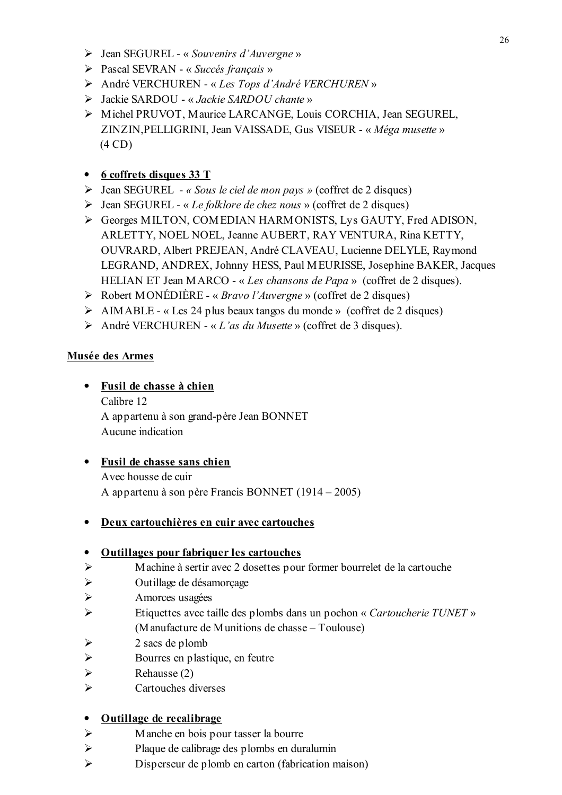- $\triangleright$  Jean SEGUREL « Souvenirs d'Auvergne »
- $\triangleright$  Pascal SEVRAN « Succés français »
- André VERCHUREN « Les Tops d'André VERCHUREN »
- > Jackie SARDOU « Jackie SARDOU chante »
- > Michel PRUVOT, Maurice LARCANGE, Louis CORCHIA, Jean SEGUREL, ZINZIN, PELLIGRINI, Jean VAISSADE, Gus VISEUR - « Méga musette »  $(4 CD)$

## • 6 coffrets disques 33 T

- $\triangleright$  Jean SEGUREL « Sous le ciel de mon pays » (coffret de 2 disques)
- $\triangleright$  Jean SEGUREL « Le folklore de chez nous » (coffret de 2 disques)
- Georges MILTON, COMEDIAN HARMONISTS, Lys GAUTY, Fred ADISON, ARLETTY, NOEL NOEL, Jeanne AUBERT, RAY VENTURA, Rina KETTY, OUVRARD, Albert PREJEAN, André CLAVEAU, Lucienne DELYLE, Raymond LEGRAND, ANDREX, Johnny HESS, Paul MEURISSE, Josephine BAKER, Jacques HELIAN ET Jean MARCO - « Les chansons de Papa » (coffret de 2 disques).
- $\triangleright$  Robert MONÉDIÈRE « *Bravo l'Auvergne* » (coffret de 2 disques)
- $\triangleright$  AIMABLE « Les 24 plus beaux tangos du monde » (coffret de 2 disques)
- André VERCHUREN « L'as du Musette » (coffret de 3 disques).

### Musée des Armes

- · Fusil de chasse à chien Calibre 12 A appartenu à son grand-père Jean BONNET Aucune indication
- Fusil de chasse sans chien Avec housse de cuir A appartenu à son père Francis BONNET (1914 – 2005)
- Deux cartouchières en cuir avec cartouches

### • Outillages pour fabriquer les cartouches

- Machine à sertir avec 2 dosettes pour former bourrelet de la cartouche  $\blacktriangleright$
- $\blacktriangleright$ Outillage de désamorçage
- $\blacktriangleright$ Amorces usagées
- $\blacktriangleright$ Etiquettes avec taille des plombs dans un pochon « Cartoucherie TUNET » (Manufacture de Munitions de chasse – Toulouse)
- 2 sacs de plomb ➤
- $\blacktriangleright$ Bourres en plastique, en feutre
- $\blacktriangleright$ Rehausse (2)
- $\blacktriangleright$ Cartouches diverses

### • Outillage de recalibrage

- Manche en bois pour tasser la bourre  $\blacktriangleright$
- $\blacktriangleright$ Plaque de calibrage des plombs en duralumin
- $\blacktriangleright$ Disperseur de plomb en carton (fabrication maison)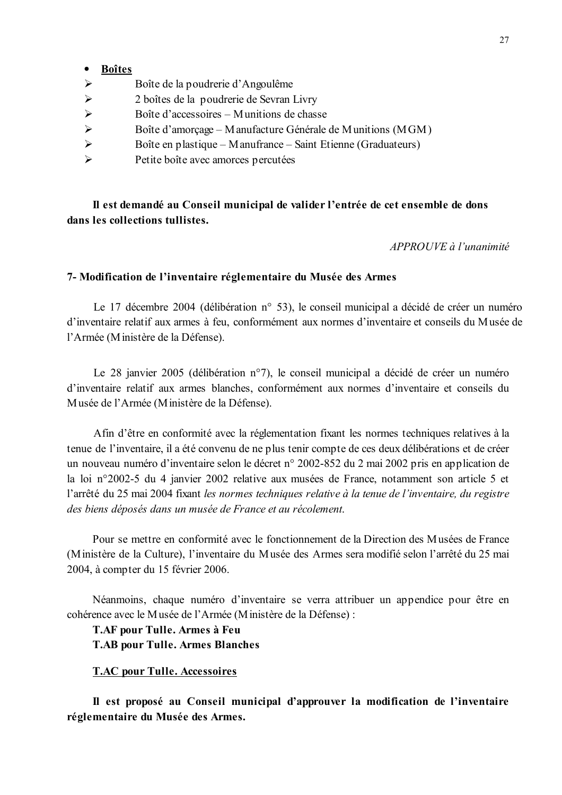#### · Boîtes

- $\blacktriangleright$ Boîte de la poudrerie d'Angoulême
- $\blacktriangleright$ 2 boîtes de la poudrerie de Sevran Livry
- $\blacktriangleright$ Boîte d'accessoires – Munitions de chasse
- $\blacktriangleright$ Boîte d'amorcage – Manufacture Générale de Munitions (MGM)
- $\blacktriangleright$ Boîte en plastique – Manufrance – Saint Etienne (Graduateurs)
- $\blacktriangleright$ Petite boîte avec amorces percutées

Il est demandé au Conseil municipal de valider l'entrée de cet ensemble de dons dans les collections tullistes.

APPROUVE à l'unanimité

#### 7- Modification de l'inventaire réglementaire du Musée des Armes

Le 17 décembre 2004 (délibération n° 53), le conseil municipal a décidé de créer un numéro d'inventaire relatif aux armes à feu, conformément aux normes d'inventaire et conseils du Musée de l'Armée (Ministère de la Défense).

Le 28 janvier 2005 (délibération n°7), le conseil municipal a décidé de créer un numéro d'inventaire relatif aux armes blanches, conformément aux normes d'inventaire et conseils du Musée de l'Armée (Ministère de la Défense).

Afin d'être en conformité avec la réglementation fixant les normes techniques relatives à la tenue de l'inventaire, il a été convenu de ne plus tenir compte de ces deux délibérations et de créer un nouveau numéro d'inventaire selon le décret n° 2002-852 du 2 mai 2002 pris en application de la loi n°2002-5 du 4 janvier 2002 relative aux musées de France, notamment son article 5 et l'arrêté du 25 mai 2004 fixant les normes techniques relative à la tenue de l'inventaire, du registre des biens déposés dans un musée de France et au récolement.

Pour se mettre en conformité avec le fonctionnement de la Direction des Musées de France (Ministère de la Culture), l'inventaire du Musée des Armes sera modifié selon l'arrêté du 25 mai 2004, à compter du 15 février 2006.

Néanmoins, chaque numéro d'inventaire se verra attribuer un appendice pour être en cohérence avec le Musée de l'Armée (Ministère de la Défense) :

**T.AF pour Tulle. Armes à Feu T.AB pour Tulle. Armes Blanches** 

#### **T.AC pour Tulle. Accessoires**

Il est proposé au Conseil municipal d'approuver la modification de l'inventaire réglementaire du Musée des Armes.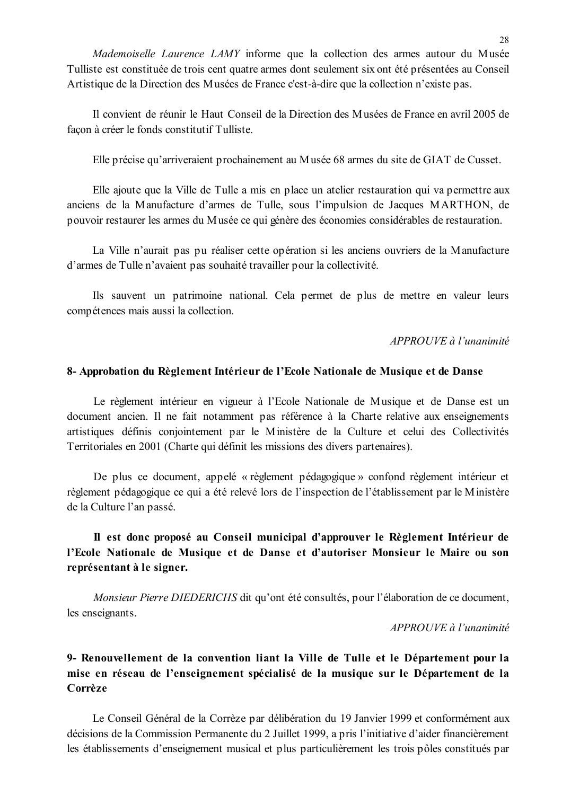Mademoiselle Laurence LAMY informe que la collection des armes autour du Musée Tulliste est constituée de trois cent quatre armes dont seulement six ont été présentées au Conseil Artistique de la Direction des Musées de France c'est-à-dire que la collection n'existe pas.

Il convient de réunir le Haut Conseil de la Direction des Musées de France en avril 2005 de facon à créer le fonds constitutif Tulliste.

Elle précise qu'arriveraient prochainement au Musée 68 armes du site de GIAT de Cusset.

Elle ajoute que la Ville de Tulle a mis en place un atelier restauration qui va permettre aux anciens de la Manufacture d'armes de Tulle, sous l'impulsion de Jacques MARTHON, de pouvoir restaurer les armes du Musée ce qui génère des économies considérables de restauration.

La Ville n'aurait pas pu réaliser cette opération si les anciens ouvriers de la Manufacture d'armes de Tulle n'avaient pas souhaité travailler pour la collectivité.

Ils sauvent un patrimoine national. Cela permet de plus de mettre en valeur leurs compétences mais aussi la collection.

APPROUVE à l'unanimité

#### 8- Approbation du Règlement Intérieur de l'Ecole Nationale de Musique et de Danse

Le règlement intérieur en vigueur à l'Ecole Nationale de Musique et de Danse est un document ancien. Il ne fait notamment pas référence à la Charte relative aux enseignements artistiques définis conjointement par le Ministère de la Culture et celui des Collectivités Territoriales en 2001 (Charte qui définit les missions des divers partenaires).

De plus ce document, appelé « règlement pédagogique » confond règlement intérieur et règlement pédagogique ce qui a été relevé lors de l'inspection de l'établissement par le Ministère de la Culture l'an passé.

### Il est donc proposé au Conseil municipal d'approuver le Règlement Intérieur de l'Ecole Nationale de Musique et de Danse et d'autoriser Monsieur le Maire ou son représentant à le signer.

Monsieur Pierre DIEDERICHS dit qu'ont été consultés, pour l'élaboration de ce document, les enseignants.

APPROUVE à l'unanimité

### 9- Renouvellement de la convention liant la Ville de Tulle et le Département pour la mise en réseau de l'enseignement spécialisé de la musique sur le Département de la Corrèze

Le Conseil Général de la Corrèze par délibération du 19 Janvier 1999 et conformément aux décisions de la Commission Permanente du 2 Juillet 1999, a pris l'initiative d'aider financièrement les établissements d'enseignement musical et plus particulièrement les trois pôles constitués par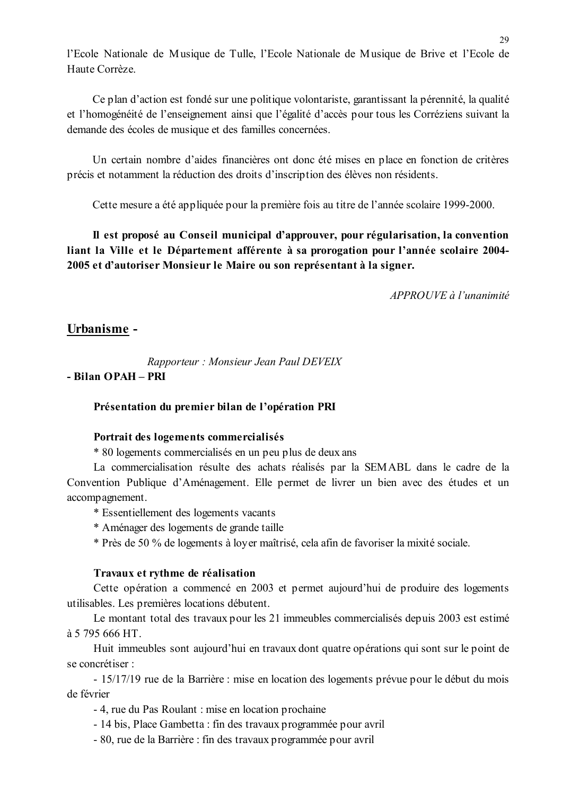l'Ecole Nationale de Musique de Tulle, l'Ecole Nationale de Musique de Brive et l'Ecole de Haute Corrèze

Ce plan d'action est fondé sur une politique volontariste, garantissant la pérennité, la qualité et l'homogénéité de l'enseignement ainsi que l'égalité d'accès pour tous les Corréziens suivant la demande des écoles de musique et des familles concernées.

Un certain nombre d'aides financières ont donc été mises en place en fonction de critères précis et notamment la réduction des droits d'inscription des élèves non résidents.

Cette mesure a été appliquée pour la première fois au titre de l'année scolaire 1999-2000.

Il est proposé au Conseil municipal d'approuver, pour régularisation, la convention liant la Ville et le Département afférente à sa prorogation pour l'année scolaire 2004-2005 et d'autoriser Monsieur le Maire ou son représentant à la signer.

 $APPROUVE \d{d} l'unanimit\acute{e}$ 

### Urbanisme -

Rapporteur: Monsieur Jean Paul DEVEIX

### - Bilan OPAH - PRI

#### Présentation du premier bilan de l'opération PRI

#### Portrait des logements commercialisés

\* 80 logements commercialisés en un peu plus de deux ans

La commercialisation résulte des achats réalisés par la SEMABL dans le cadre de la Convention Publique d'Aménagement. Elle permet de livrer un bien avec des études et un accompagnement.

- \* Essentiellement des logements vacants
- \* Aménager des logements de grande taille

\* Près de 50 % de logements à loyer maîtrisé, cela afin de favoriser la mixité sociale.

#### Travaux et rythme de réalisation

Cette opération a commencé en 2003 et permet aujourd'hui de produire des logements utilisables. Les premières locations débutent.

Le montant total des travaux pour les 21 immeubles commercialisés depuis 2003 est estimé à 5 795 666 HT

Huit immeubles sont aujourd'hui en travaux dont quatre opérations qui sont sur le point de se concrétiser :

- 15/17/19 rue de la Barrière : mise en location des logements prévue pour le début du mois de février

- 4, rue du Pas Roulant : mise en location prochaine

- 14 bis, Place Gambetta : fin des travaux programmée pour avril
- 80, rue de la Barrière : fin des travaux programmée pour avril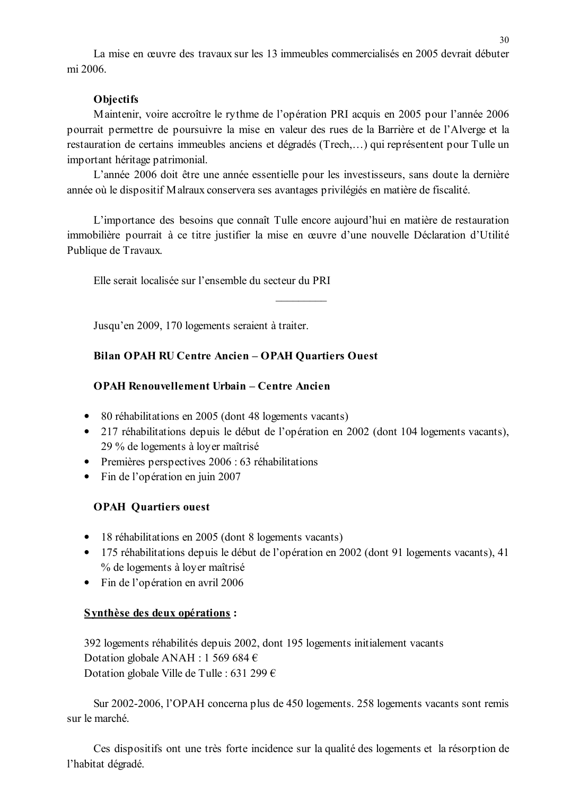La mise en œuvre des travaux sur les 13 immeubles commercialisés en 2005 devrait débuter mi 2006

### **Objectifs**

Maintenir, voire accroître le rythme de l'opération PRI acquis en 2005 pour l'année 2006 pourrait permettre de poursuivre la mise en valeur des rues de la Barrière et de l'Alverge et la restauration de certains immeubles anciens et dégradés (Trech,...) qui représentent pour Tulle un important héritage patrimonial.

L'année 2006 doit être une année essentielle pour les investisseurs, sans doute la dernière année où le dispositif Malraux conservera ses avantages privilégiés en matière de fiscalité.

L'importance des besoins que connaît Tulle encore aujourd'hui en matière de restauration immobilière pourrait à ce titre justifier la mise en œuvre d'une nouvelle Déclaration d'Utilité Publique de Travaux.

Elle serait localisée sur l'ensemble du secteur du PRI

Jusqu'en 2009, 170 logements seraient à traiter.

### Bilan OPAH RU Centre Ancien - OPAH Quartiers Ouest

### **OPAH Renouvellement Urbain - Centre Ancien**

- 80 réhabilitations en 2005 (dont 48 logements vacants)
- 217 réhabilitations depuis le début de l'opération en 2002 (dont 104 logements vacants). 29 % de logements à loyer maîtrisé
- Premières perspectives  $2006 : 63$  réhabilitations
- Fin de l'opération en juin 2007

### **OPAH Quartiers ouest**

- 18 réhabilitations en 2005 (dont 8 logements vacants)
- 175 réhabilitations depuis le début de l'opération en 2002 (dont 91 logements vacants), 41 % de logements à loyer maîtrisé
- Fin de l'opération en avril 2006

### Synthèse des deux opérations :

392 logements réhabilités depuis 2002, dont 195 logements initialement vacants Dotation globale ANAH : 1 569 684  $\epsilon$ Dotation globale Ville de Tulle : 631 299  $\epsilon$ 

Sur 2002-2006, l'OPAH concerna plus de 450 logements. 258 logements vacants sont remis sur le marché

Ces dispositifs ont une très forte incidence sur la qualité des logements et la résorption de l'habitat dégradé.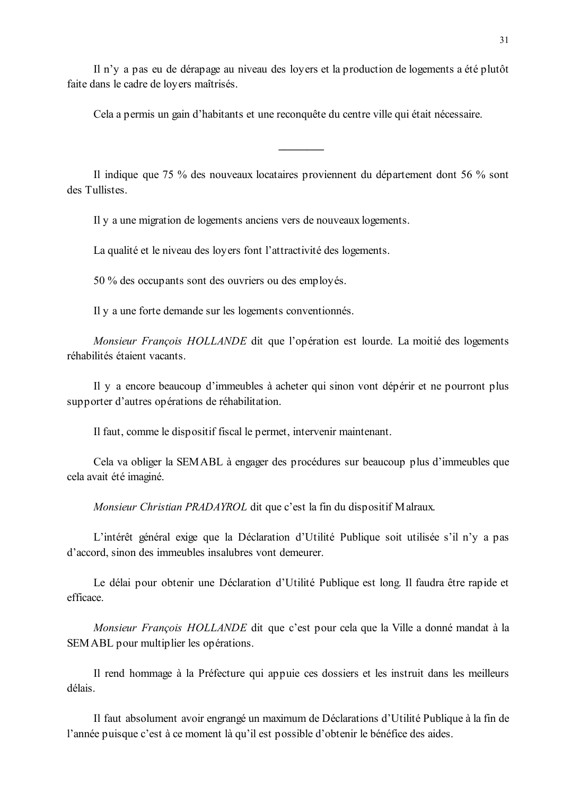Il n'y a pas eu de dérapage au niveau des loyers et la production de logements a été plutôt faite dans le cadre de loyers maîtrisés.

Cela a permis un gain d'habitants et une reconquête du centre ville qui était nécessaire.

Il indique que 75 % des nouveaux locataires proviennent du département dont 56 % sont des Tullistes

Il y a une migration de logements anciens vers de nouveaux logements.

La qualité et le niveau des loyers font l'attractivité des logements.

50 % des occupants sont des ouvriers ou des employés.

Il y a une forte demande sur les logements conventionnés.

Monsieur François HOLLANDE dit que l'opération est lourde. La moitié des logements réhabilités étaient vacants.

Il y a encore beaucoup d'immeubles à acheter qui sinon vont dépérir et ne pourront plus supporter d'autres opérations de réhabilitation.

Il faut, comme le dispositif fiscal le permet, intervenir maintenant.

Cela va obliger la SEMABL à engager des procédures sur beaucoup plus d'immeubles que cela avait été imaginé.

*Monsieur Christian PRADAYROL* dit que c'est la fin du dispositif Malraux.

L'intérêt général exige que la Déclaration d'Utilité Publique soit utilisée s'il n'y a pas d'accord, sinon des immeubles insalubres vont demeurer.

Le délai pour obtenir une Déclaration d'Utilité Publique est long. Il faudra être rapide et efficace.

Monsieur François HOLLANDE dit que c'est pour cela que la Ville a donné mandat à la SEM ABL pour multiplier les opérations.

Il rend hommage à la Préfecture qui appuie ces dossiers et les instruit dans les meilleurs délais

Il faut absolument avoir engrangé un maximum de Déclarations d'Utilité Publique à la fin de l'année puisque c'est à ce moment là qu'il est possible d'obtenir le bénéfice des aides.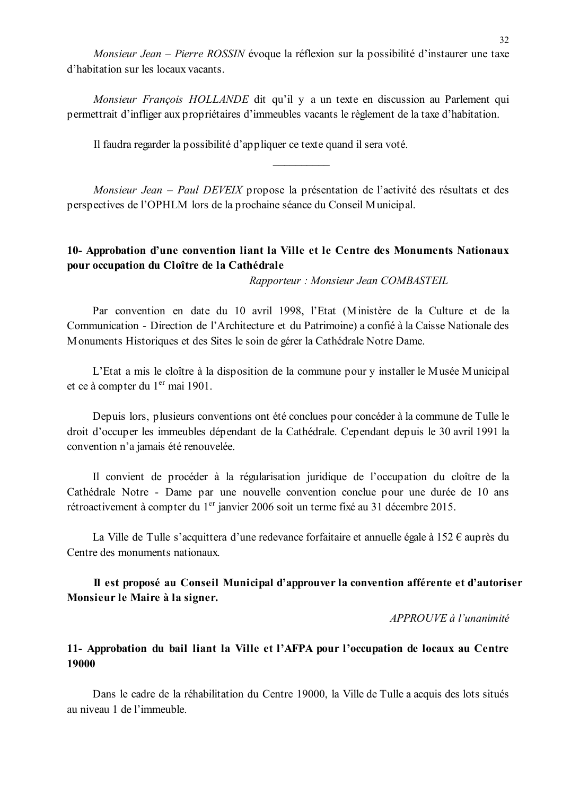Monsieur Jean – Pierre ROSSIN évoque la réflexion sur la possibilité d'instaurer une taxe d'habitation sur les locaux vacants

Monsieur François HOLLANDE dit qu'il y a un texte en discussion au Parlement qui permettrait d'infliger aux propriétaires d'immeubles vacants le règlement de la taxe d'habitation.

Il faudra regarder la possibilité d'appliquer ce texte quand il sera voté.

Monsieur Jean – Paul DEVEIX propose la présentation de l'activité des résultats et des perspectives de l'OPHLM lors de la prochaine séance du Conseil Municipal.

### 10- Approbation d'une convention liant la Ville et le Centre des Monuments Nationaux pour occupation du Cloître de la Cathédrale

Rapporteur: Monsieur Jean COMBASTEIL

Par convention en date du 10 avril 1998, l'Etat (Ministère de la Culture et de la Communication - Direction de l'Architecture et du Patrimoine) a confié à la Caisse Nationale des Monuments Historiques et des Sites le soin de gérer la Cathédrale Notre Dame.

L'Etat a mis le cloître à la disposition de la commune pour y installer le Musée Municipal et ce à compter du 1<sup>er</sup> mai 1901.

Depuis lors, plusieurs conventions ont été conclues pour concéder à la commune de Tulle le droit d'occuper les immeubles dépendant de la Cathédrale. Cependant depuis le 30 avril 1991 la convention n'a jamais été renouvelée.

Il convient de procéder à la régularisation juridique de l'occupation du cloître de la Cathédrale Notre - Dame par une nouvelle convention conclue pour une durée de 10 ans rétroactivement à compter du 1<sup>er</sup> janvier 2006 soit un terme fixé au 31 décembre 2015.

La Ville de Tulle s'acquittera d'une redevance forfaitaire et annuelle égale à 152  $\epsilon$  auprès du Centre des monuments nationaux.

### Il est proposé au Conseil Municipal d'approuver la convention afférente et d'autoriser Monsieur le Maire à la signer.

 $APPROIIVE \d{d} l'unanimit \d{e}$ 

### 11- Approbation du bail liant la Ville et l'AFPA pour l'occupation de locaux au Centre 19000

Dans le cadre de la réhabilitation du Centre 19000, la Ville de Tulle a acquis des lots situés au niveau 1 de l'immeuble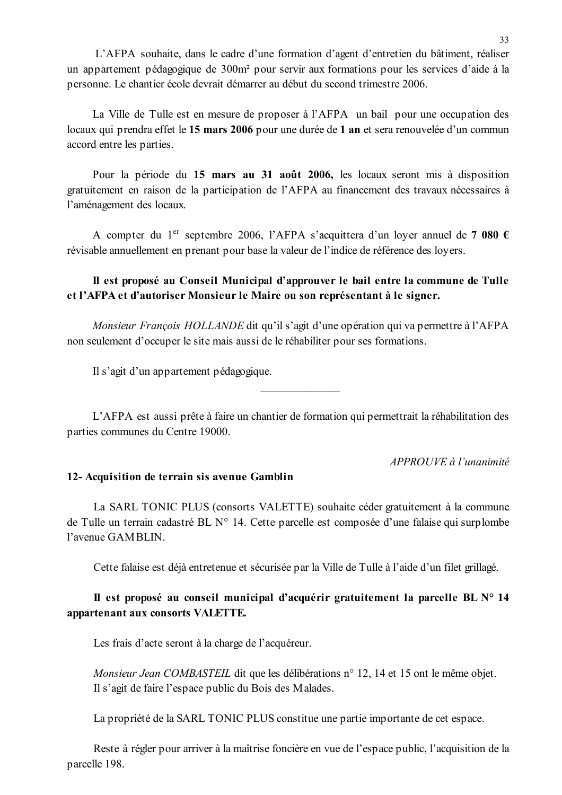L'AFPA souhaite, dans le cadre d'une formation d'agent d'entretien du bâtiment, réaliser un appartement pédagogique de 300m<sup>2</sup> pour servir aux formations pour les services d'aide à la personne. Le chantier école devrait démarrer au début du second trimestre 2006.

La Ville de Tulle est en mesure de proposer à l'AFPA un bail pour une occupation des locaux qui prendra effet le 15 mars 2006 pour une durée de 1 an et sera renouvelée d'un commun accord entre les parties.

Pour la période du 15 mars au 31 août 2006, les locaux seront mis à disposition gratuitement en raison de la participation de l'AFPA au financement des travaux nécessaires à l'aménagement des locaux.

A compter du 1<sup>er</sup> septembre 2006, l'AFPA s'acquittera d'un lover annuel de 7 080 € révisable annuellement en prenant pour base la valeur de l'indice de référence des loyers.

### Il est proposé au Conseil Municipal d'approuver le bail entre la commune de Tulle et l'AFPA et d'autoriser Monsieur le Maire ou son représentant à le signer.

*Monsieur Francois HOLLANDE* dit qu'il s'agit d'une opération qui va permettre à l'AFPA non seulement d'occuper le site mais aussi de le réhabiliter pour ses formations.

Il s'agit d'un appartement pédagogique.

L'AFPA est aussi prête à faire un chantier de formation qui permettrait la réhabilitation des parties communes du Centre 19000.

 $APPROUVE \d{d} l'unanimit \d{e}$ 

#### 12- Acquisition de terrain sis avenue Gamblin

La SARL TONIC PLUS (consorts VALETTE) souhaite céder gratuitement à la commune de Tulle un terrain cadastré BL N° 14. Cette parcelle est composée d'une falaise qui surplombe l'avenue GAMBLIN.

Cette falaise est déjà entretenue et sécurisée par la Ville de Tulle à l'aide d'un filet grillagé.

### Il est proposé au conseil municipal d'acquérir gratuitement la parcelle BL N° 14 appartenant aux consorts VALETTE.

Les frais d'acte seront à la charge de l'acquéreur.

Monsieur Jean COMBASTEIL dit que les délibérations n° 12, 14 et 15 ont le même objet. Il s'agit de faire l'espace public du Bois des Malades.

La propriété de la SARL TONIC PLUS constitue une partie importante de cet espace.

Reste à régler pour arriver à la maîtrise foncière en vue de l'espace public, l'acquisition de la parcelle 198.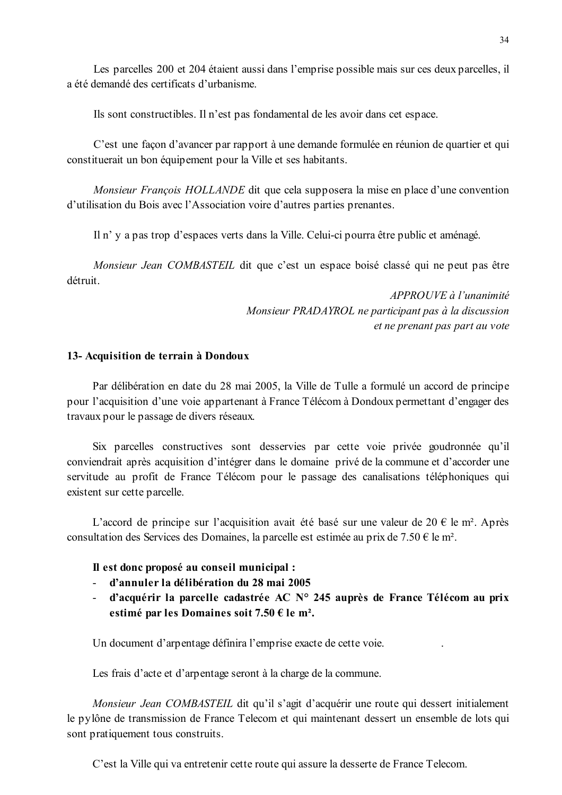Les parcelles 200 et 204 étaient aussi dans l'emprise possible mais sur ces deux parcelles, il a été demandé des certificats d'urbanisme.

Ils sont constructibles. Il n'est pas fondamental de les avoir dans cet espace.

C'est une façon d'avancer par rapport à une demande formulée en réunion de quartier et qui constituerait un bon équipement pour la Ville et ses habitants.

*Monsieur François HOLLANDE* dit que cela supposera la mise en place d'une convention d'utilisation du Bois avec l'Association voire d'autres parties prenantes.

Il n' y a pas trop d'espaces verts dans la Ville. Celui-ci pourra être public et aménagé.

Monsieur Jean COMBASTEIL dit que c'est un espace boisé classé qui ne peut pas être détruit

> APPROUVE à l'unanimité Monsieur PRADAYROL ne participant pas à la discussion et ne prenant pas part au vote

#### 13- Acquisition de terrain à Dondoux

Par délibération en date du 28 mai 2005, la Ville de Tulle a formulé un accord de principe pour l'acquisition d'une voie appartenant à France Télécom à Dondoux permettant d'engager des travaux pour le passage de divers réseaux.

Six parcelles constructives sont desservies par cette voie privée goudronnée qu'il conviendrait après acquisition d'intégrer dans le domaine privé de la commune et d'accorder une servitude au profit de France Télécom pour le passage des canalisations téléphoniques qui existent sur cette parcelle.

L'accord de principe sur l'acquisition avait été basé sur une valeur de 20 € le m<sup>2</sup>. Après consultation des Services des Domaines, la parcelle est estimée au prix de 7.50 € le m<sup>2</sup>.

#### Il est donc proposé au conseil municipal :

- d'annuler la délibération du 28 mai 2005
- d'acquérir la parcelle cadastrée AC N° 245 auprès de France Télécom au prix estimé par les Domaines soit 7.50 € le m<sup>2</sup>.

Un document d'arpentage définira l'emprise exacte de cette voie.

Les frais d'acte et d'arpentage seront à la charge de la commune.

Monsieur Jean COMBASTEIL dit qu'il s'agit d'acquérir une route qui dessert initialement le pylône de transmission de France Telecom et qui maintenant dessert un ensemble de lots qui sont pratiquement tous construits.

C'est la Ville qui va entretenir cette route qui assure la desserte de France Telecom.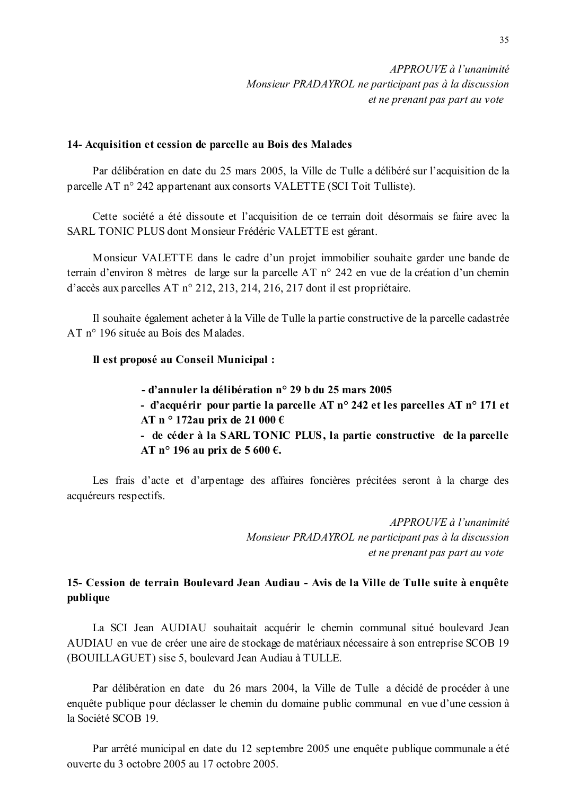#### 14- Acquisition et cession de parcelle au Bois des Malades

Par délibération en date du 25 mars 2005, la Ville de Tulle a délibéré sur l'acquisition de la parcelle AT n° 242 appartenant aux consorts VALETTE (SCI Toit Tulliste).

Cette société a été dissoute et l'acquisition de ce terrain doit désormais se faire avec la SARL TONIC PLUS dont Monsieur Frédéric VALETTE est gérant.

Monsieur VALETTE dans le cadre d'un projet immobilier souhaite garder une bande de terrain d'environ 8 mètres de large sur la parcelle AT n° 242 en vue de la création d'un chemin d'accès aux parcelles AT n° 212, 213, 214, 216, 217 dont il est propriétaire.

Il souhaite également acheter à la Ville de Tulle la partie constructive de la parcelle cadastrée AT n° 196 située au Bois des Malades.

### Il est proposé au Conseil Municipal :

- d'annuler la délibération n° 29 h du 25 mars 2005 - d'acquérir pour partie la parcelle AT n° 242 et les parcelles AT n° 171 et AT n  $\circ$  172au prix de 21 000 € - de céder à la SARL TONIC PLUS, la partie constructive de la parcelle AT n° 196 au prix de 5 600 €.

Les frais d'acte et d'arpentage des affaires foncières précitées seront à la charge des acquéreurs respectifs.

> APPROUVE à l'unanimité Monsieur PRADAYROL ne participant pas à la discussion et ne prenant pas part au vote

### 15- Cession de terrain Boulevard Jean Audiau - Avis de la Ville de Tulle suite à enquête publique

La SCI Jean AUDIAU souhaitait acquérir le chemin communal situé boulevard Jean AUDIAU en vue de créer une aire de stockage de matériaux nécessaire à son entreprise SCOB 19 (BOUILLAGUET) sise 5, boulevard Jean Audiau à TULLE.

Par délibération en date du 26 mars 2004, la Ville de Tulle a décidé de procéder à une enquête publique pour déclasser le chemin du domaine public communal en vue d'une cession à la Société SCOB 19

Par arrêté municipal en date du 12 septembre 2005 une enquête publique communale a été ouverte du 3 octobre 2005 au 17 octobre 2005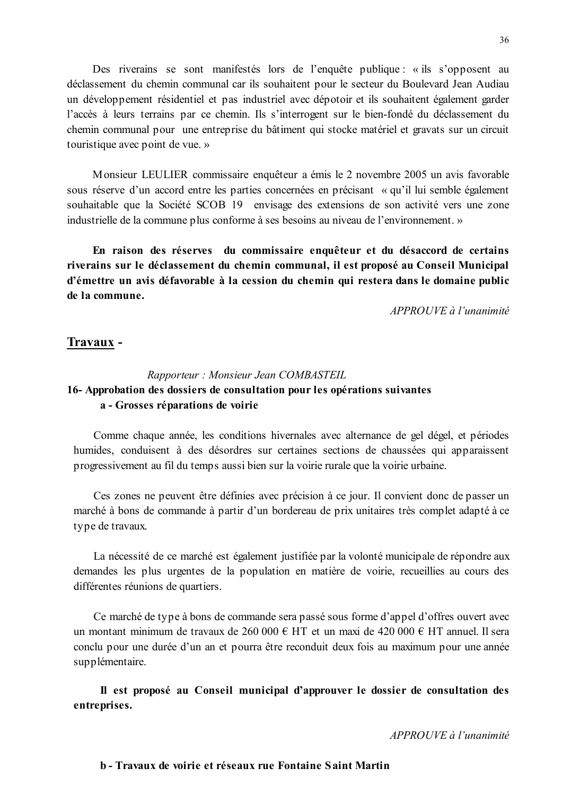Des riverains se sont manifestés lors de l'enquête publique : « ils s'opposent au déclassement du chemin communal car ils souhaitent pour le secteur du Boulevard Jean Audiau un développement résidentiel et pas industriel avec dépotoir et ils souhaitent également garder l'accès à leurs terrains par ce chemin. Ils s'interrogent sur le bien-fondé du déclassement du chemin communal pour une entreprise du bâtiment qui stocke matériel et gravats sur un circuit touristique avec point de vue. »

Monsieur LEULIER commissaire enquêteur a émis le 2 novembre 2005 un avis favorable sous réserve d'un accord entre les parties concernées en précisant « qu'il lui semble également souhaitable que la Société SCOB 19 envisage des extensions de son activité vers une zone industrielle de la commune plus conforme à ses besoins au niveau de l'environnement. »

En raison des réserves du commissaire enquêteur et du désaccord de certains riverains sur le déclassement du chemin communal, il est proposé au Conseil Municipal d'émettre un avis défavorable à la cession du chemin qui restera dans le domaine public de la commune.

 $APPROIIVE$  à l'unanimité

#### Travaux -

### Rapporteur: Monsieur Jean COMBASTEIL 16-Approbation des dossiers de consultation pour les opérations suivantes a - Grosses réparations de voirie

Comme chaque année, les conditions hivernales avec alternance de gel dégel, et périodes humides, conduisent à des désordres sur certaines sections de chaussées qui apparaissent progressivement au fil du temps aussi bien sur la voirie rurale que la voirie urbaine.

Ces zones ne peuvent être définies avec précision à ce jour. Il convient donc de passer un marché à bons de commande à partir d'un bordereau de prix unitaires très complet adapté à ce type de travaux.

La nécessité de ce marché est également justifiée par la volonté municipale de répondre aux demandes les plus urgentes de la population en matière de voirie, recueillies au cours des différentes réunions de quartiers.

Ce marché de type à bons de commande sera passé sous forme d'appel d'offres ouvert avec un montant minimum de travaux de 260 000 € HT et un maxi de 420 000 € HT annuel. Il sera conclu pour une durée d'un an et pourra être reconduit deux fois au maximum pour une année supplémentaire.

Il est proposé au Conseil municipal d'approuver le dossier de consultation des entreprises.

APPROUVE à l'unanimité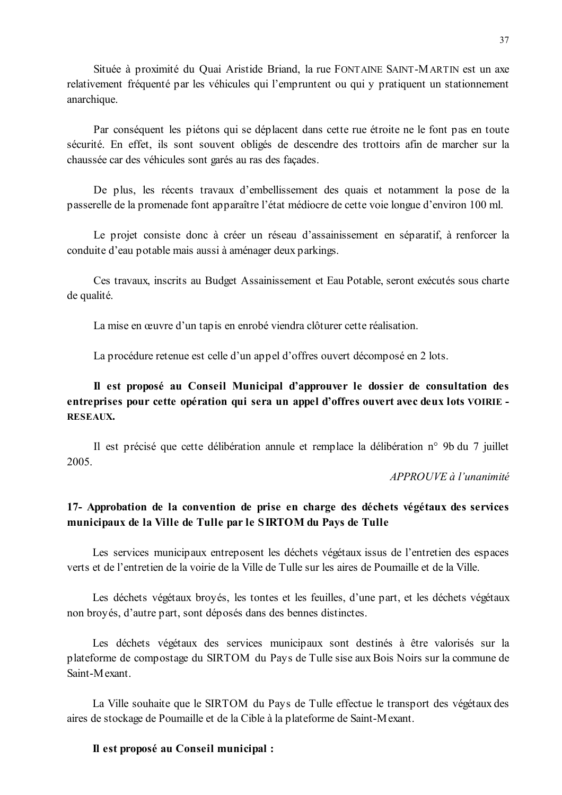Située à proximité du Quai Aristide Briand, la rue FONTAINE SAINT-MARTIN est un axe relativement fréquenté par les véhicules qui l'empruntent ou qui y pratiquent un stationnement anarchique.

Par conséquent les piétons qui se déplacent dans cette rue étroite ne le font pas en toute sécurité. En effet, ils sont souvent obligés de descendre des trottoirs afin de marcher sur la chaussée car des véhicules sont garés au ras des façades.

De plus, les récents travaux d'embellissement des quais et notamment la pose de la passerelle de la promenade font apparaître l'état médiocre de cette voie longue d'environ 100 ml.

Le projet consiste donc à créer un réseau d'assainissement en séparatif, à renforcer la conduite d'eau potable mais aussi à aménager deux parkings.

Ces travaux, inscrits au Budget Assainissement et Eau Potable, seront exécutés sous charte de qualité.

La mise en œuvre d'un tapis en enrobé viendra clôturer cette réalisation.

La procédure retenue est celle d'un appel d'offres ouvert décomposé en 2 lots.

### Il est proposé au Conseil Municipal d'approuver le dossier de consultation des entreprises pour cette opération qui sera un appel d'offres ouvert avec deux lots VOIRIE -RESEAUX.

Il est précisé que cette délibération annule et remplace la délibération n° 9b du 7 juillet 2005

APPROUVE à l'unanimité

### 17- Approbation de la convention de prise en charge des déchets végétaux des services municipaux de la Ville de Tulle par le SIRTOM du Pays de Tulle

Les services municipaux entreposent les déchets végétaux issus de l'entretien des espaces verts et de l'entretien de la voirie de la Ville de Tulle sur les aires de Poumaille et de la Ville

Les déchets végétaux broyés, les tontes et les feuilles, d'une part, et les déchets végétaux non broyés, d'autre part, sont déposés dans des bennes distinctes.

Les déchets végétaux des services municipaux sont destinés à être valorisés sur la plateforme de compostage du SIRTOM du Pays de Tulle sise aux Bois Noirs sur la commune de Saint-Mexant

La Ville souhaite que le SIRTOM du Pays de Tulle effectue le transport des végétaux des aires de stockage de Poumaille et de la Cible à la plateforme de Saint-Mexant.

### Il est proposé au Conseil municipal :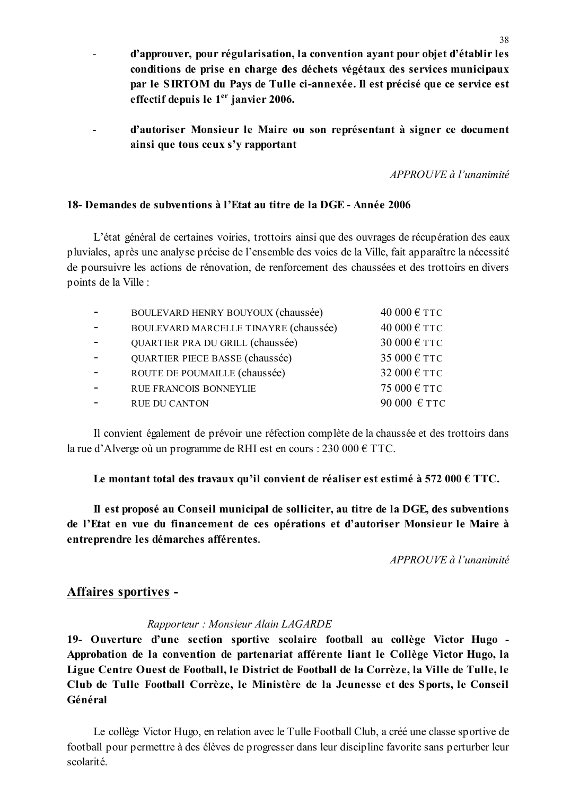- d'approuver, pour régularisation, la convention avant pour objet d'établir les conditions de prise en charge des déchets végétaux des services municipaux par le SIRTOM du Pays de Tulle ci-annexée. Il est précisé que ce service est effectif depuis le 1<sup>er</sup> janvier 2006.
- d'autoriser Monsieur le Maire ou son représentant à signer ce document  $\overline{a}$ ainsi que tous ceux s'y rapportant

 $APPROIIVE \d{d} l'unanimit \d{e}$ 

### 18- Demandes de subventions à l'Etat au titre de la DGE - Année 2006

L'état général de certaines voiries, trottoirs ainsi que des ouvrages de récupération des eaux pluviales, après une analyse précise de l'ensemble des voies de la Ville, fait apparaître la nécessité de poursuivre les actions de rénovation, de renforcement des chaussées et des trottoirs en divers points de la Ville :

| BOULEVARD HENRY BOUYOUX (chaussée)    | 40 000 € TTC |
|---------------------------------------|--------------|
| BOULEVARD MARCELLE TINAYRE (chaussée) | 40 000 € ТТС |
| QUARTIER PRA DU GRILL (chaussée)      | 30 000 € TTC |
| QUARTIER PIECE BASSE (chaussée)       | 35 000 € TTC |
| ROUTE DE POUMAILLE (chaussée)         | 32 000 € ТТС |
| <b>RUE FRANCOIS BONNEYLIE</b>         | 75 000 € ТТС |
| <b>RUE DU CANTON</b>                  | 90 000 € TTC |

Il convient également de prévoir une réfection complète de la chaussée et des trottoirs dans la rue d'Alverge où un programme de RHI est en cours : 230 000  $\epsilon$  TTC.

Le montant total des travaux qu'il convient de réaliser est estimé à 572 000  $\epsilon$  TTC.

Il est proposé au Conseil municipal de solliciter, au titre de la DGE, des subventions de l'Etat en vue du financement de ces opérations et d'autoriser Monsieur le Maire à entreprendre les démarches afférentes.

 $APPROIIVE$  à l'unanimité

## Affaires sportives -

#### Rapporteur: Monsieur Alain LAGARDE

19- Ouverture d'une section sportive scolaire football au collège Victor Hugo -Approbation de la convention de partenariat afférente liant le Collège Victor Hugo, la Ligue Centre Ouest de Football, le District de Football de la Corrèze, la Ville de Tulle, le Club de Tulle Football Corrèze, le Ministère de la Jeunesse et des Sports, le Conseil Général

Le collège Victor Hugo, en relation avec le Tulle Football Club, a créé une classe sportive de football pour permettre à des élèves de progresser dans leur discipline favorite sans perturber leur scolarité.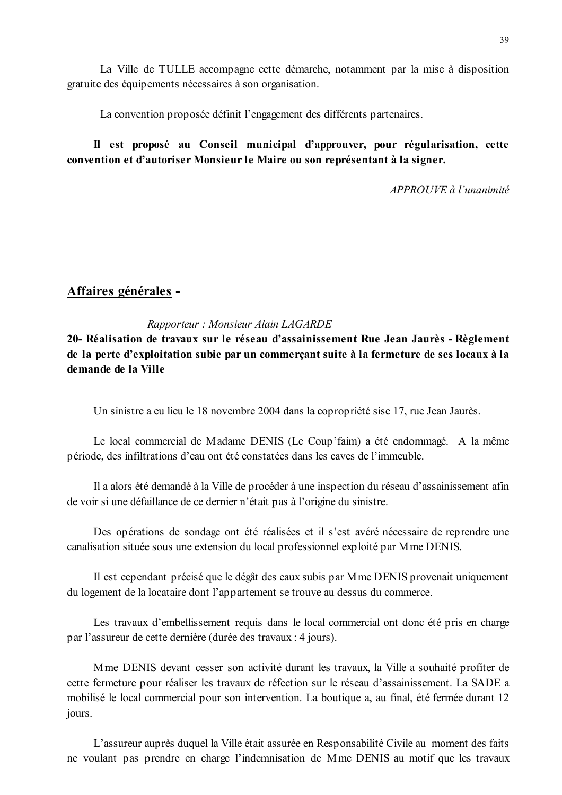La convention proposée définit l'engagement des différents partenaires.

## Il est proposé au Conseil municipal d'approuver, pour régularisation, cette convention et d'autoriser Monsieur le Maire ou son représentant à la signer.

 $APPROUVE \d0$  l'unanimité

## Affaires générales -

### Rapporteur: Monsieur Alain LAGARDE

20- Réalisation de travaux sur le réseau d'assainissement Rue Jean Jaurès - Règlement de la perte d'exploitation subie par un commerçant suite à la fermeture de ses locaux à la demande de la Ville

Un sinistre a eu lieu le 18 novembre 2004 dans la copropriété sise 17, rue Jean Jaurès.

Le local commercial de Madame DENIS (Le Coup faim) a été endommagé. A la même période, des infiltrations d'eau ont été constatées dans les caves de l'immeuble.

Il a alors été demandé à la Ville de procéder à une inspection du réseau d'assainissement afin de voir si une défaillance de ce dernier n'était pas à l'origine du sinistre.

Des opérations de sondage ont été réalisées et il s'est avéré nécessaire de reprendre une canalisation située sous une extension du local professionnel exploité par M me DENIS.

Il est cependant précisé que le dégât des eaux subis par M me DENIS provenait uniquement du logement de la locataire dont l'appartement se trouve au dessus du commerce.

Les travaux d'embellissement requis dans le local commercial ont donc été pris en charge par l'assureur de cette dernière (durée des travaux : 4 jours).

Mme DENIS devant cesser son activité durant les travaux, la Ville a souhaité profiter de cette fermeture pour réaliser les travaux de réfection sur le réseau d'assainissement. La SADE a mobilisé le local commercial pour son intervention. La boutique a, au final, été fermée durant 12 jours.

L'assureur auprès duquel la Ville était assurée en Responsabilité Civile au moment des faits ne voulant pas prendre en charge l'indemnisation de Mme DENIS au motif que les travaux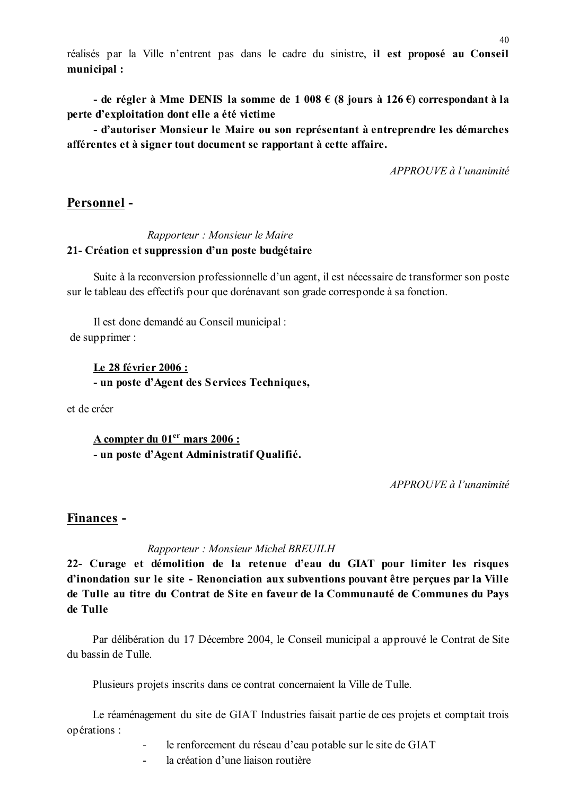réalisés par la Ville n'entrent pas dans le cadre du sinistre, il est proposé au Conseil municipal:

- de régler à Mme DENIS la somme de 1 008 € (8 jours à 126 €) correspondant à la perte d'exploitation dont elle a été victime

- d'autoriser Monsieur le Maire ou son représentant à entreprendre les démarches afférentes et à signer tout document se rapportant à cette affaire.

APPROUVE à l'unanimité

## Personnel-

### Rapporteur : Monsieur le Maire 21- Création et suppression d'un poste budgétaire

Suite à la reconversion professionnelle d'un agent, il est nécessaire de transformer son poste sur le tableau des effectifs pour que dorénavant son grade corresponde à sa fonction.

Il est donc demandé au Conseil municipal : de supprimer :

> Le 28 février 2006 : - un poste d'Agent des Services Techniques,

et de créer

A compter du 01<sup>er</sup> mars 2006 : - un poste d'Agent Administratif Qualifié.

APPROUVE à l'unanimité

### Finances -

### Rapporteur: Monsieur Michel BREUILH

22- Curage et démolition de la retenue d'eau du GIAT pour limiter les risques d'inondation sur le site - Renonciation aux subventions pouvant être perçues par la Ville de Tulle au titre du Contrat de Site en faveur de la Communauté de Communes du Pays de Tulle

Par délibération du 17 Décembre 2004, le Conseil municipal a approuvé le Contrat de Site du bassin de Tulle.

Plusieurs projets inscrits dans ce contrat concernaient la Ville de Tulle.

Le réaménagement du site de GIAT Industries faisait partie de ces projets et comptait trois opérations :

- le renforcement du réseau d'eau potable sur le site de GIAT  $\mathbf{r}$
- la création d'une liaison routière  $\mathbf{r}$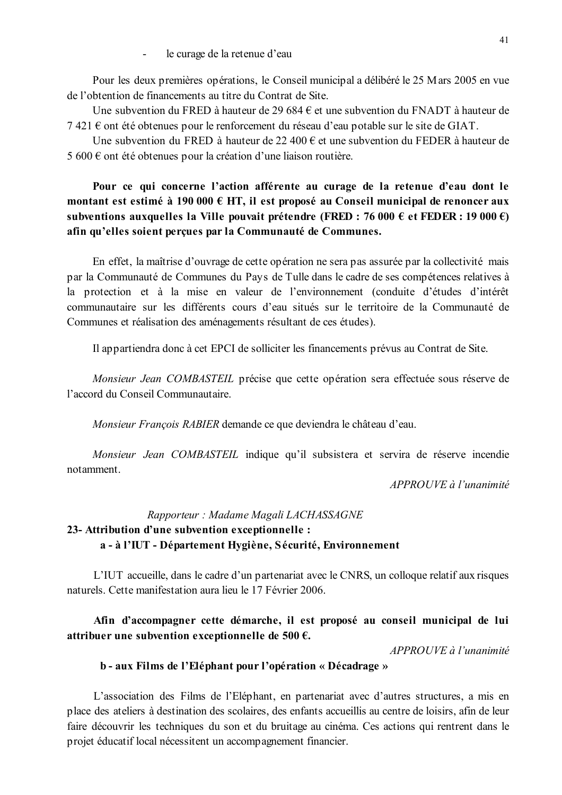le curage de la retenue d'eau

Pour les deux premières opérations, le Conseil municipal a délibéré le 25 M ars 2005 en vue de l'obtention de financements au titre du Contrat de Site.

Une subvention du FRED à hauteur de 29 684 € et une subvention du FNADT à hauteur de  $7421 \text{ } \in$  ont été obtenues pour le renforcement du réseau d'eau potable sur le site de GIAT.

Une subvention du FRED à hauteur de 22 400 € et une subvention du FEDER à hauteur de 5 600 € ont été obtenues pour la création d'une liaison routière.

## Pour ce qui concerne l'action afférente au curage de la retenue d'eau dont le montant est estimé à 190 000 € HT, il est proposé au Conseil municipal de renoncer aux subventions auxquelles la Ville pouvait prétendre (FRED : 76 000 € et FEDER : 19 000 €) afin qu'elles soient perçues par la Communauté de Communes.

En effet, la maîtrise d'ouvrage de cette opération ne sera pas assurée par la collectivité mais par la Communauté de Communes du Pays de Tulle dans le cadre de ses compétences relatives à la protection et à la mise en valeur de l'environnement (conduite d'études d'intérêt communautaire sur les différents cours d'eau situés sur le territoire de la Communauté de Communes et réalisation des aménagements résultant de ces études).

Il appartiendra donc à cet EPCI de solliciter les financements prévus au Contrat de Site.

Monsieur Jean COMBASTEIL précise que cette opération sera effectuée sous réserve de l'accord du Conseil Communautaire.

Monsieur François RABIER demande ce que deviendra le château d'eau.

Monsieur Jean COMBASTEIL indique qu'il subsistera et servira de réserve incendie notamment.

APPROUVE à l'unanimité

## Rapporteur : Madame Magali LACHASSAGNE 23- Attribution d'une subvention exceptionnelle : a - à l'IUT - Département Hygiène, Sécurité, Environnement

L'IUT accueille, dans le cadre d'un partenariat avec le CNRS, un colloque relatif aux risques naturels. Cette manifestation aura lieu le 17 Février 2006.

### Afin d'accompagner cette démarche, il est proposé au conseil municipal de lui attribuer une subvention exceptionnelle de 500  $\epsilon$ .

 $APPROIIVE \d0$  l'unanimité

#### b - aux Films de l'Eléphant pour l'opération « Décadrage »

L'association des Films de l'Eléphant, en partenariat avec d'autres structures, a mis en place des ateliers à destination des scolaires, des enfants accueillis au centre de loisirs, afin de leur faire découvrir les techniques du son et du bruitage au cinéma. Ces actions qui rentrent dans le projet éducatif local nécessitent un accompagnement financier.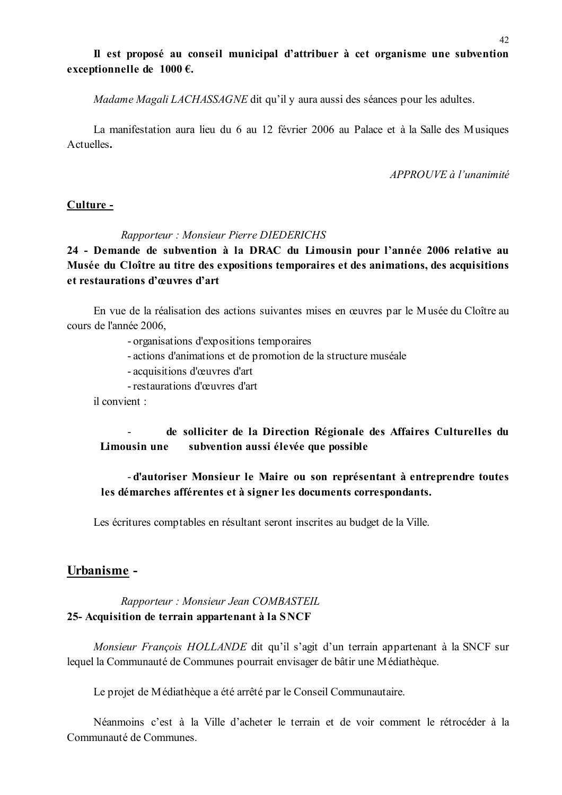### Il est proposé au conseil municipal d'attribuer à cet organisme une subvention exceptionnelle de  $1000 \in$ .

*Madame Magali LACHASSAGNE* dit qu'il y aura aussi des séances pour les adultes.

La manifestation aura lieu du 6 au 12 février 2006 au Palace et à la Salle des Musiques Actuelles.

 $APPROIIVE \d{d} l'unanimit \d{e}$ 

#### Culture -

#### Rapporteur: Monsieur Pierre DIEDERICHS

24 - Demande de subvention à la DRAC du Limousin pour l'année 2006 relative au Musée du Cloître au titre des expositions temporaires et des animations, des acquisitions et restaurations d'œuvres d'art

En vue de la réalisation des actions suivantes mises en œuvres par le Musée du Cloître au cours de l'année 2006.

- organisations d'expositions temporaires

- actions d'animations et de promotion de la structure muséale
- acquisitions d'œuvres d'art
- restaurations d'œuvres d'art

il convient ·

#### $\mathbf{r}$ de solliciter de la Direction Régionale des Affaires Culturelles du Limousin une subvention aussi élevée que possible

### - d'autoriser Monsieur le Maire ou son représentant à entreprendre toutes les démarches afférentes et à signer les documents correspondants.

Les écritures comptables en résultant seront inscrites au budget de la Ville.

### Urbanisme -

### Rapporteur: Monsieur Jean COMBASTEIL 25- Acquisition de terrain appartenant à la SNCF

Monsieur François HOLLANDE dit qu'il s'agit d'un terrain appartenant à la SNCF sur lequel la Communauté de Communes pourrait envisager de bâtir une Médiathèque.

Le projet de Médiathèque a été arrêté par le Conseil Communautaire.

Néanmoins c'est à la Ville d'acheter le terrain et de voir comment le rétrocéder à la Communauté de Communes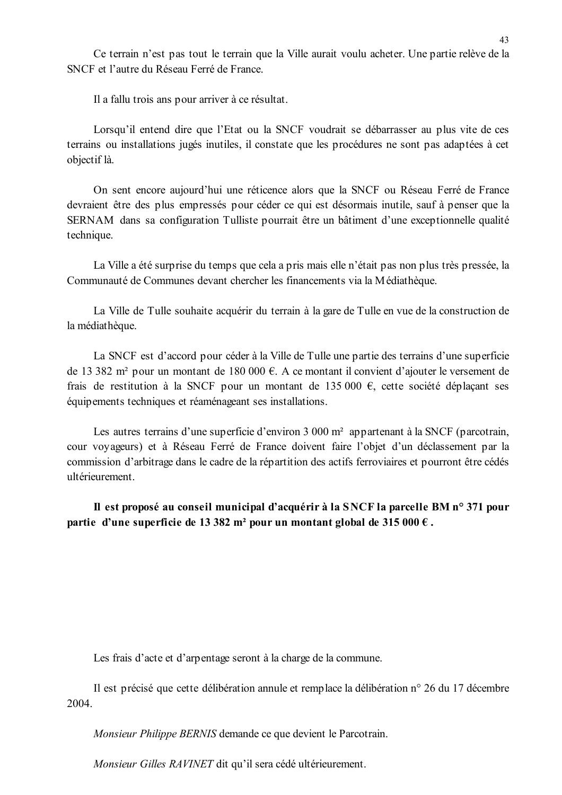Ce terrain n'est pas tout le terrain que la Ville aurait voulu acheter. Une partie relève de la SNCF et l'autre du Réseau Ferré de France

Il a fallu trois ans pour arriver à ce résultat.

Lorsqu'il entend dire que l'Etat ou la SNCF voudrait se débarrasser au plus vite de ces terrains ou installations jugés inutiles, il constate que les procédures ne sont pas adaptées à cet objectif là.

On sent encore aujourd'hui une réticence alors que la SNCF ou Réseau Ferré de France devraient être des plus empressés pour céder ce qui est désormais inutile, sauf à penser que la SERNAM dans sa configuration Tulliste pourrait être un bâtiment d'une exceptionnelle qualité technique.

La Ville a été surprise du temps que cela a pris mais elle n'était pas non plus très pressée, la Communauté de Communes devant chercher les financements via la Médiathèque.

La Ville de Tulle souhaite acquérir du terrain à la gare de Tulle en vue de la construction de la médiathèque.

La SNCF est d'accord pour céder à la Ville de Tulle une partie des terrains d'une superficie de 13 382 m<sup>2</sup> pour un montant de 180 000 €. A ce montant il convient d'ajouter le versement de frais de restitution à la SNCF pour un montant de 135 000 €, cette société déplaçant ses équipements techniques et réaménageant ses installations.

Les autres terrains d'une superficie d'environ 3 000 m<sup>2</sup> appartenant à la SNCF (parcotrain, cour voyageurs) et à Réseau Ferré de France doivent faire l'objet d'un déclassement par la commission d'arbitrage dans le cadre de la répartition des actifs ferroviaires et pourront être cédés ultérieurement.

Il est proposé au conseil municipal d'acquérir à la SNCF la parcelle BM n° 371 pour partie d'une superficie de 13 382 m<sup>2</sup> pour un montant global de 315 000  $\epsilon$ .

Les frais d'acte et d'arpentage seront à la charge de la commune.

Il est précisé que cette délibération annule et remplace la délibération n° 26 du 17 décembre 2004.

Monsieur Philippe BERNIS demande ce que devient le Parcotrain.

Monsieur Gilles RAVINET dit qu'il sera cédé ultérieurement.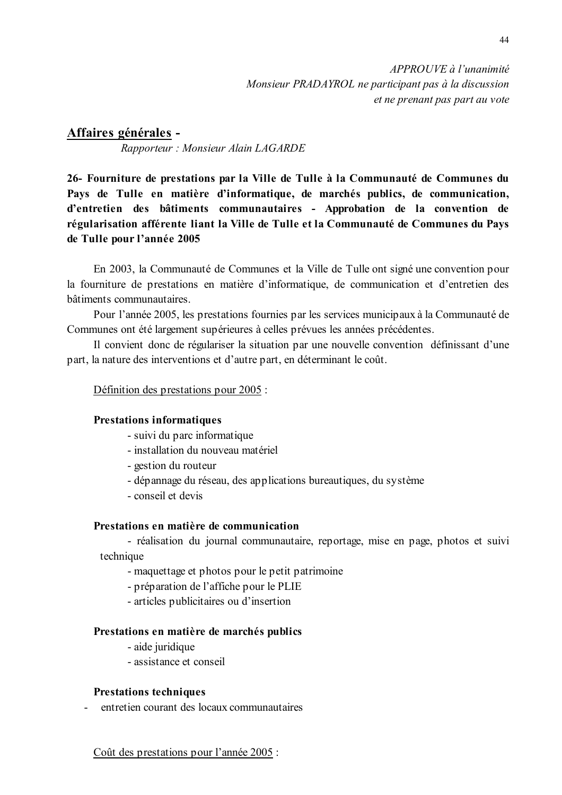### Affaires générales -

Rapporteur: Monsieur Alain LAGARDE

26- Fourniture de prestations par la Ville de Tulle à la Communauté de Communes du Pays de Tulle en matière d'informatique, de marchés publics, de communication, d'entretien des bâtiments communautaires - Approbation de la convention de régularisation afférente liant la Ville de Tulle et la Communauté de Communes du Pays de Tulle pour l'année 2005

En 2003, la Communauté de Communes et la Ville de Tulle ont signé une convention pour la fourniture de prestations en matière d'informatique, de communication et d'entretien des bâtiments communautaires.

Pour l'année 2005, les prestations fournies par les services municipaux à la Communauté de Communes ont été largement supérieures à celles prévues les années précédentes.

Il convient donc de régulariser la situation par une nouvelle convention définissant d'une part, la nature des interventions et d'autre part, en déterminant le coût.

#### Définition des prestations pour 2005 :

#### **Prestations informatiques**

- suivi du parc informatique
- installation du nouveau matériel
- gestion du routeur
- dépannage du réseau, des applications bureautiques, du système
- conseil et devis

#### Prestations en matière de communication

- réalisation du journal communautaire, reportage, mise en page, photos et suivi technique

- maquettage et photos pour le petit patrimoine
- préparation de l'affiche pour le PLIE
- articles publicitaires ou d'insertion

#### Prestations en matière de marchés publics

- aide iuridique
- assistance et conseil

#### **Prestations techniques**

entretien courant des locaux communautaires  $\mathbf{L}^{\text{max}}$ 

#### Coût des prestations pour l'année 2005 :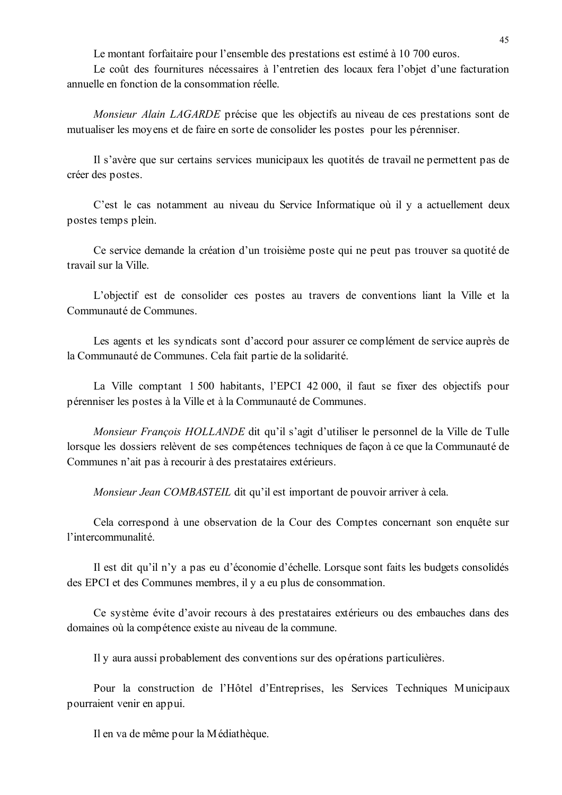Le montant forfaitaire pour l'ensemble des prestations est estimé à 10 700 euros.

Le coût des fournitures nécessaires à l'entretien des locaux fera l'objet d'une facturation annuelle en fonction de la consommation réelle.

Monsieur Alain LAGARDE précise que les objectifs au niveau de ces prestations sont de mutualiser les moyens et de faire en sorte de consolider les postes pour les pérenniser.

Il s'avère que sur certains services municipaux les quotités de travail ne permettent pas de créer des postes.

C'est le cas notamment au niveau du Service Informatique où il y a actuellement deux postes temps plein.

Ce service demande la création d'un troisième poste qui ne peut pas trouver sa quotité de travail sur la Ville

L'objectif est de consolider ces postes au travers de conventions liant la Ville et la Communauté de Communes

Les agents et les syndicats sont d'accord pour assurer ce complément de service auprès de la Communauté de Communes. Cela fait partie de la solidarité.

La Ville comptant 1 500 habitants, l'EPCI 42 000, il faut se fixer des objectifs pour pérenniser les postes à la Ville et à la Communauté de Communes.

Monsieur Francois HOLLANDE dit qu'il s'agit d'utiliser le personnel de la Ville de Tulle lorsque les dossiers relèvent de ses compétences techniques de façon à ce que la Communauté de Communes n'ait pas à recourir à des prestataires extérieurs.

Monsieur Jean COMBASTEIL dit qu'il est important de pouvoir arriver à cela.

Cela correspond à une observation de la Cour des Comptes concernant son enquête sur l'intercommunalité.

Il est dit qu'il n'y a pas eu d'économie d'échelle. Lorsque sont faits les budgets consolidés des EPCI et des Communes membres, il y a eu plus de consommation.

Ce système évite d'avoir recours à des prestataires extérieurs ou des embauches dans des domaines où la compétence existe au niveau de la commune.

Il y aura aussi probablement des conventions sur des opérations particulières.

Pour la construction de l'Hôtel d'Entreprises, les Services Techniques Municipaux pourraient venir en appui.

Il en va de même pour la Médiathèque.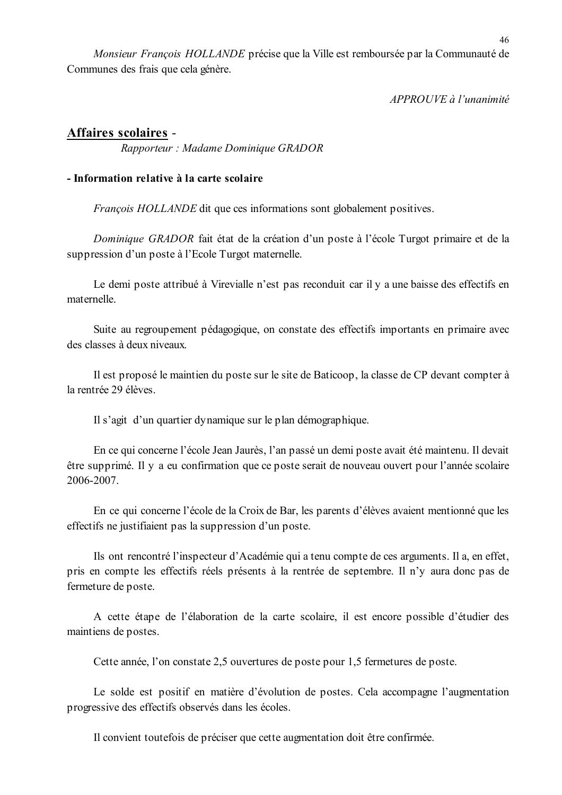Monsieur François HOLLANDE précise que la Ville est remboursée par la Communauté de Communes des frais que cela génère.

APPROUVE à l'unanimité

### Affaires scolaires -

Rapporteur: Madame Dominique GRADOR

### - Information relative à la carte scolaire

*François HOLLANDE* dit que ces informations sont globalement positives.

Dominique GRADOR fait état de la création d'un poste à l'école Turgot primaire et de la suppression d'un poste à l'Ecole Turgot maternelle.

Le demi poste attribué à Virevialle n'est pas reconduit car il y a une baisse des effectifs en maternelle

Suite au regroupement pédagogique, on constate des effectifs importants en primaire avec des classes à deux niveaux.

Il est proposé le maintien du poste sur le site de Baticoop, la classe de CP devant compter à la rentrée 29 élèves

Il s'agit d'un quartier dynamique sur le plan démographique.

En ce qui concerne l'école Jean Jaurès, l'an passé un demi poste avait été maintenu. Il devait être supprimé. Il y a eu confirmation que ce poste serait de nouveau ouvert pour l'année scolaire 2006-2007.

En ce qui concerne l'école de la Croix de Bar, les parents d'élèves avaient mentionné que les effectifs ne justifiaient pas la suppression d'un poste.

Ils ont rencontré l'inspecteur d'Académie qui a tenu compte de ces arguments. Il a, en effet, pris en compte les effectifs réels présents à la rentrée de septembre. Il n'y aura donc pas de fermeture de poste.

A cette étape de l'élaboration de la carte scolaire, il est encore possible d'étudier des maintiens de postes.

Cette année, l'on constate 2,5 ouvertures de poste pour 1,5 fermetures de poste.

Le solde est positif en matière d'évolution de postes. Cela accompagne l'augmentation progressive des effectifs observés dans les écoles.

Il convient toutefois de préciser que cette augmentation doit être confirmée.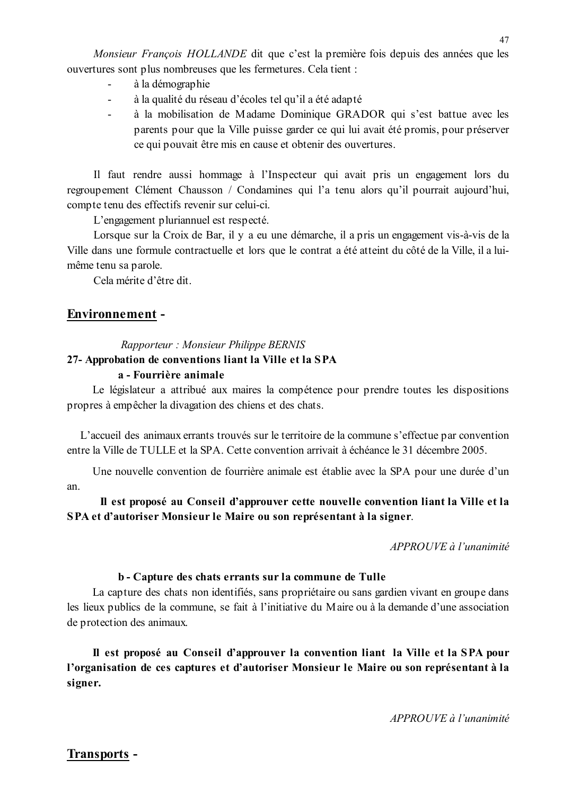Monsieur François HOLLANDE dit que c'est la première fois depuis des années que les ouvertures sont plus nombreuses que les fermetures. Cela tient :

- à la démographie
- à la qualité du réseau d'écoles tel qu'il a été adapté
- à la mobilisation de Madame Dominique GRADOR qui s'est battue avec les parents pour que la Ville puisse garder ce qui lui avait été promis, pour préserver ce qui pouvait être mis en cause et obtenir des ouvertures.

Il faut rendre aussi hommage à l'Inspecteur qui avait pris un engagement lors du regroupement Clément Chausson / Condamines qui l'a tenu alors qu'il pourrait aujourd'hui, compte tenu des effectifs revenir sur celui-ci.

L'engagement pluriannuel est respecté.

Lorsque sur la Croix de Bar, il y a eu une démarche, il a pris un engagement vis-à-vis de la Ville dans une formule contractuelle et lors que le contrat a été atteint du côté de la Ville, il a luimême tenu sa parole.

Cela mérite d'être dit

### **Environnement -**

### Rapporteur: Monsieur Philippe BERNIS

### 27- Approbation de conventions liant la Ville et la SPA

### a - Fourrière animale

Le législateur a attribué aux maires la compétence pour prendre toutes les dispositions propres à empêcher la divagation des chiens et des chats.

L'accueil des animaux errants trouvés sur le territoire de la commune s'effectue par convention entre la Ville de TULLE et la SPA Cette convention arrivait à échéance le 31 décembre 2005

Une nouvelle convention de fourrière animale est établie avec la SPA pour une durée d'un an

Il est proposé au Conseil d'approuver cette nouvelle convention liant la Ville et la SPA et d'autoriser Monsieur le Maire ou son représentant à la signer.

 $APPROUVE \d0$  l'unanimité

#### b - Capture des chats errants sur la commune de Tulle

La capture des chats non identifiés, sans propriétaire ou sans gardien vivant en groupe dans les lieux publics de la commune, se fait à l'initiative du Maire ou à la demande d'une association de protection des animaux.

Il est proposé au Conseil d'approuver la convention liant la Ville et la SPA pour l'organisation de ces captures et d'autoriser Monsieur le Maire ou son représentant à la signer.

### **Transports -**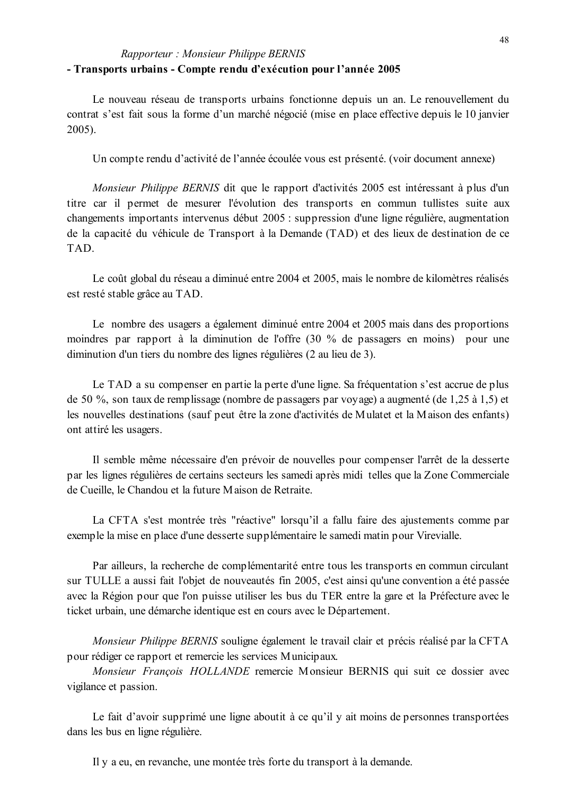### Rapporteur: Monsieur Philippe BERNIS - Transports urbains - Compte rendu d'exécution pour l'année 2005

Le nouveau réseau de transports urbains fonctionne depuis un an. Le renouvellement du contrat s'est fait sous la forme d'un marché négocié (mise en place effective depuis le 10 janvier  $2005$ ).

Un compte rendu d'activité de l'année écoulée vous est présenté. (voir document annexe)

Monsieur Philippe BERNIS dit que le rapport d'activités 2005 est intéressant à plus d'un titre car il permet de mesurer l'évolution des transports en commun tullistes suite aux changements importants intervenus début 2005 : suppression d'une ligne régulière, augmentation de la capacité du véhicule de Transport à la Demande (TAD) et des lieux de destination de ce TAD.

Le coût global du réseau a diminué entre 2004 et 2005, mais le nombre de kilomètres réalisés est resté stable grâce au TAD.

Le nombre des usagers a également diminué entre 2004 et 2005 mais dans des proportions moindres par rapport à la diminution de l'offre (30 % de passagers en moins) pour une diminution d'un tiers du nombre des lignes régulières (2 au lieu de 3).

Le TAD a su compenser en partie la perte d'une ligne. Sa fréquentation s'est accrue de plus de 50 %, son taux de remplissage (nombre de passagers par voyage) a augmenté (de 1,25 à 1,5) et les nouvelles destinations (sauf peut être la zone d'activités de Mulatet et la Maison des enfants) ont attiré les usagers.

Il semble même nécessaire d'en prévoir de nouvelles pour compenser l'arrêt de la desserte par les lignes régulières de certains secteurs les samedi après midi telles que la Zone Commerciale de Cueille, le Chandou et la future Maison de Retraite.

La CFTA s'est montrée très "réactive" lorsqu'il a fallu faire des ajustements comme par exemple la mise en place d'une desserte supplémentaire le samedi matin pour Virevialle.

Par ailleurs, la recherche de complémentarité entre tous les transports en commun circulant sur TULLE a aussi fait l'objet de nouveautés fin 2005, c'est ainsi qu'une convention a été passée avec la Région pour que l'on puisse utiliser les bus du TER entre la gare et la Préfecture avec le ticket urbain, une démarche identique est en cours avec le Département.

Monsieur Philippe BERNIS souligne également le travail clair et précis réalisé par la CFTA pour rédiger ce rapport et remercie les services Municipaux.

Monsieur François HOLLANDE remercie Monsieur BERNIS qui suit ce dossier avec vigilance et passion.

Le fait d'avoir supprimé une ligne aboutit à ce qu'il y ait moins de personnes transportées dans les bus en ligne régulière.

Il y a eu, en revanche, une montée très forte du transport à la demande.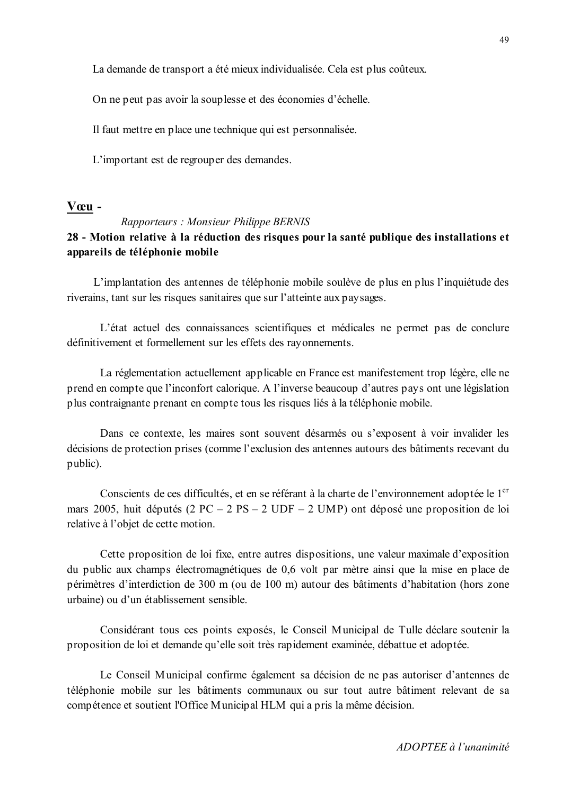La demande de transport a été mieux individualisée. Cela est plus coûteux.

On ne peut pas avoir la souplesse et des économies d'échelle.

Il faut mettre en place une technique qui est personnalisée.

L'important est de regrouper des demandes.

#### Vœu -

#### Rapporteurs: Monsieur Philippe BERNIS

### 28 - Motion relative à la réduction des risques pour la santé publique des installations et appareils de téléphonie mobile

L'implantation des antennes de téléphonie mobile soulève de plus en plus l'inquiétude des riverains, tant sur les risques sanitaires que sur l'atteinte aux paysages.

L'état actuel des connaissances scientifiques et médicales ne permet pas de conclure définitivement et formellement sur les effets des rayonnements.

La réglementation actuellement applicable en France est manifestement trop légère, elle ne prend en compte que l'inconfort calorique. A l'inverse beaucoup d'autres pays ont une législation plus contraignante prenant en compte tous les risques liés à la téléphonie mobile.

Dans ce contexte, les maires sont souvent désarmés ou s'exposent à voir invalider les décisions de protection prises (comme l'exclusion des antennes autours des bâtiments recevant du public).

Conscients de ces difficultés, et en se référant à la charte de l'environnement adoptée le 1<sup>er</sup> mars 2005, huit députés (2 PC – 2 PS – 2 UDF – 2 UMP) ont déposé une proposition de loi relative à l'objet de cette motion.

Cette proposition de loi fixe, entre autres dispositions, une valeur maximale d'exposition du public aux champs électromagnétiques de 0.6 volt par mètre ainsi que la mise en place de périmètres d'interdiction de 300 m (ou de 100 m) autour des bâtiments d'habitation (hors zone urbaine) ou d'un établissement sensible

Considérant tous ces points exposés, le Conseil Municipal de Tulle déclare soutenir la proposition de loi et demande qu'elle soit très rapidement examinée, débattue et adoptée.

Le Conseil Municipal confirme également sa décision de ne pas autoriser d'antennes de téléphonie mobile sur les bâtiments communaux ou sur tout autre bâtiment relevant de sa compétence et soutient l'Office Municipal HLM qui a pris la même décision.